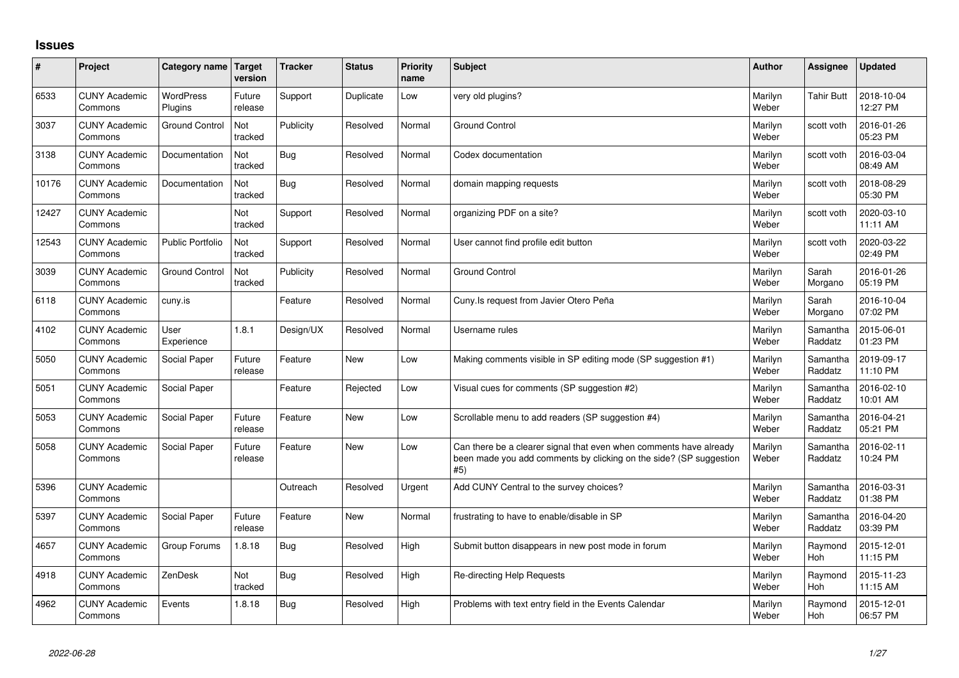## **Issues**

| ∦     | Project                         | Category name               | Target<br>version | <b>Tracker</b> | <b>Status</b> | <b>Priority</b><br>name | <b>Subject</b>                                                                                                                                  | Author           | Assignee              | <b>Updated</b>         |
|-------|---------------------------------|-----------------------------|-------------------|----------------|---------------|-------------------------|-------------------------------------------------------------------------------------------------------------------------------------------------|------------------|-----------------------|------------------------|
| 6533  | <b>CUNY Academic</b><br>Commons | <b>WordPress</b><br>Plugins | Future<br>release | Support        | Duplicate     | Low                     | very old plugins?                                                                                                                               | Marilyn<br>Weber | <b>Tahir Butt</b>     | 2018-10-04<br>12:27 PM |
| 3037  | <b>CUNY Academic</b><br>Commons | Ground Control              | Not<br>tracked    | Publicity      | Resolved      | Normal                  | <b>Ground Control</b>                                                                                                                           | Marilyn<br>Weber | scott voth            | 2016-01-26<br>05:23 PM |
| 3138  | <b>CUNY Academic</b><br>Commons | Documentation               | Not<br>tracked    | <b>Bug</b>     | Resolved      | Normal                  | Codex documentation                                                                                                                             | Marilyn<br>Weber | scott voth            | 2016-03-04<br>08:49 AM |
| 10176 | <b>CUNY Academic</b><br>Commons | Documentation               | Not<br>tracked    | Bug            | Resolved      | Normal                  | domain mapping requests                                                                                                                         | Marilyn<br>Weber | scott voth            | 2018-08-29<br>05:30 PM |
| 12427 | <b>CUNY Academic</b><br>Commons |                             | Not<br>tracked    | Support        | Resolved      | Normal                  | organizing PDF on a site?                                                                                                                       | Marilyn<br>Weber | scott voth            | 2020-03-10<br>11:11 AM |
| 12543 | <b>CUNY Academic</b><br>Commons | <b>Public Portfolio</b>     | Not<br>tracked    | Support        | Resolved      | Normal                  | User cannot find profile edit button                                                                                                            | Marilyn<br>Weber | scott voth            | 2020-03-22<br>02:49 PM |
| 3039  | <b>CUNY Academic</b><br>Commons | <b>Ground Control</b>       | Not<br>tracked    | Publicity      | Resolved      | Normal                  | <b>Ground Control</b>                                                                                                                           | Marilyn<br>Weber | Sarah<br>Morgano      | 2016-01-26<br>05:19 PM |
| 6118  | <b>CUNY Academic</b><br>Commons | cuny.is                     |                   | Feature        | Resolved      | Normal                  | Cuny. Is request from Javier Otero Peña                                                                                                         | Marilyn<br>Weber | Sarah<br>Morgano      | 2016-10-04<br>07:02 PM |
| 4102  | <b>CUNY Academic</b><br>Commons | User<br>Experience          | 1.8.1             | Design/UX      | Resolved      | Normal                  | Username rules                                                                                                                                  | Marilyn<br>Weber | Samantha<br>Raddatz   | 2015-06-01<br>01:23 PM |
| 5050  | <b>CUNY Academic</b><br>Commons | Social Paper                | Future<br>release | Feature        | <b>New</b>    | Low                     | Making comments visible in SP editing mode (SP suggestion #1)                                                                                   | Marilyn<br>Weber | Samantha<br>Raddatz   | 2019-09-17<br>11:10 PM |
| 5051  | <b>CUNY Academic</b><br>Commons | Social Paper                |                   | Feature        | Rejected      | Low                     | Visual cues for comments (SP suggestion #2)                                                                                                     | Marilyn<br>Weber | Samantha<br>Raddatz   | 2016-02-10<br>10:01 AM |
| 5053  | <b>CUNY Academic</b><br>Commons | Social Paper                | Future<br>release | Feature        | <b>New</b>    | Low                     | Scrollable menu to add readers (SP suggestion #4)                                                                                               | Marilyn<br>Weber | Samantha<br>Raddatz   | 2016-04-21<br>05:21 PM |
| 5058  | <b>CUNY Academic</b><br>Commons | Social Paper                | Future<br>release | Feature        | <b>New</b>    | Low                     | Can there be a clearer signal that even when comments have already<br>been made you add comments by clicking on the side? (SP suggestion<br>#5) | Marilyn<br>Weber | Samantha<br>Raddatz   | 2016-02-11<br>10:24 PM |
| 5396  | <b>CUNY Academic</b><br>Commons |                             |                   | Outreach       | Resolved      | Urgent                  | Add CUNY Central to the survey choices?                                                                                                         | Marilyn<br>Weber | Samantha<br>Raddatz   | 2016-03-31<br>01:38 PM |
| 5397  | <b>CUNY Academic</b><br>Commons | Social Paper                | Future<br>release | Feature        | <b>New</b>    | Normal                  | frustrating to have to enable/disable in SP                                                                                                     | Marilyn<br>Weber | Samantha<br>Raddatz   | 2016-04-20<br>03:39 PM |
| 4657  | <b>CUNY Academic</b><br>Commons | Group Forums                | 1.8.18            | <b>Bug</b>     | Resolved      | High                    | Submit button disappears in new post mode in forum                                                                                              | Marilyn<br>Weber | Raymond<br>Hoh        | 2015-12-01<br>11:15 PM |
| 4918  | <b>CUNY Academic</b><br>Commons | ZenDesk                     | Not<br>tracked    | <b>Bug</b>     | Resolved      | High                    | Re-directing Help Requests                                                                                                                      | Marilyn<br>Weber | Raymond<br><b>Hoh</b> | 2015-11-23<br>11:15 AM |
| 4962  | <b>CUNY Academic</b><br>Commons | Events                      | 1.8.18            | Bug            | Resolved      | High                    | Problems with text entry field in the Events Calendar                                                                                           | Marilyn<br>Weber | Raymond<br>Hoh        | 2015-12-01<br>06:57 PM |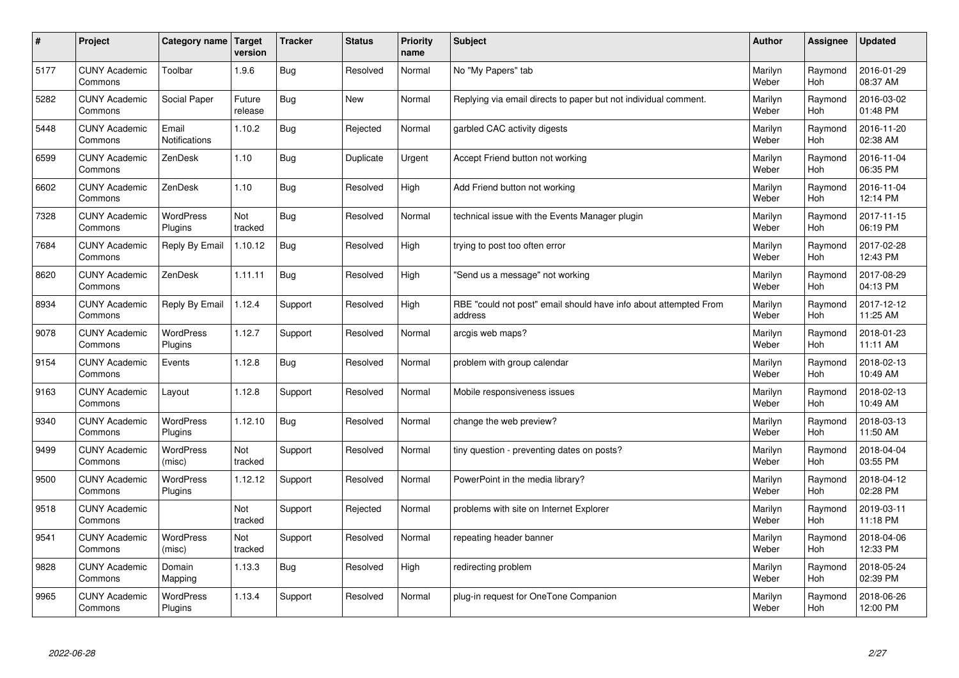| $\sharp$ | Project                         | Category name   Target        | version           | <b>Tracker</b> | <b>Status</b> | <b>Priority</b><br>name | <b>Subject</b>                                                              | <b>Author</b>    | <b>Assignee</b>       | <b>Updated</b>         |
|----------|---------------------------------|-------------------------------|-------------------|----------------|---------------|-------------------------|-----------------------------------------------------------------------------|------------------|-----------------------|------------------------|
| 5177     | <b>CUNY Academic</b><br>Commons | Toolbar                       | 1.9.6             | <b>Bug</b>     | Resolved      | Normal                  | No "My Papers" tab                                                          | Marilyn<br>Weber | Raymond<br><b>Hoh</b> | 2016-01-29<br>08:37 AM |
| 5282     | <b>CUNY Academic</b><br>Commons | Social Paper                  | Future<br>release | <b>Bug</b>     | New           | Normal                  | Replying via email directs to paper but not individual comment.             | Marilyn<br>Weber | Raymond<br>Hoh        | 2016-03-02<br>01:48 PM |
| 5448     | <b>CUNY Academic</b><br>Commons | Email<br><b>Notifications</b> | 1.10.2            | <b>Bug</b>     | Rejected      | Normal                  | garbled CAC activity digests                                                | Marilyn<br>Weber | Raymond<br><b>Hoh</b> | 2016-11-20<br>02:38 AM |
| 6599     | <b>CUNY Academic</b><br>Commons | ZenDesk                       | 1.10              | Bug            | Duplicate     | Urgent                  | Accept Friend button not working                                            | Marilyn<br>Weber | Raymond<br>Hoh        | 2016-11-04<br>06:35 PM |
| 6602     | <b>CUNY Academic</b><br>Commons | ZenDesk                       | 1.10              | <b>Bug</b>     | Resolved      | High                    | Add Friend button not working                                               | Marilyn<br>Weber | Raymond<br>Hoh        | 2016-11-04<br>12:14 PM |
| 7328     | <b>CUNY Academic</b><br>Commons | <b>WordPress</b><br>Plugins   | Not<br>tracked    | <b>Bug</b>     | Resolved      | Normal                  | technical issue with the Events Manager plugin                              | Marilyn<br>Weber | Raymond<br>Hoh        | 2017-11-15<br>06:19 PM |
| 7684     | <b>CUNY Academic</b><br>Commons | Reply By Email                | 1.10.12           | <b>Bug</b>     | Resolved      | High                    | trying to post too often error                                              | Marilyn<br>Weber | Raymond<br><b>Hoh</b> | 2017-02-28<br>12:43 PM |
| 8620     | <b>CUNY Academic</b><br>Commons | ZenDesk                       | 1.11.11           | <b>Bug</b>     | Resolved      | High                    | 'Send us a message" not working                                             | Marilyn<br>Weber | Raymond<br>Hoh        | 2017-08-29<br>04:13 PM |
| 8934     | <b>CUNY Academic</b><br>Commons | Reply By Email                | 1.12.4            | Support        | Resolved      | High                    | RBE "could not post" email should have info about attempted From<br>address | Marilyn<br>Weber | Raymond<br>Hoh        | 2017-12-12<br>11:25 AM |
| 9078     | <b>CUNY Academic</b><br>Commons | <b>WordPress</b><br>Plugins   | 1.12.7            | Support        | Resolved      | Normal                  | arcgis web maps?                                                            | Marilyn<br>Weber | Raymond<br>Hoh        | 2018-01-23<br>11:11 AM |
| 9154     | <b>CUNY Academic</b><br>Commons | Events                        | 1.12.8            | Bug            | Resolved      | Normal                  | problem with group calendar                                                 | Marilyn<br>Weber | Raymond<br><b>Hoh</b> | 2018-02-13<br>10:49 AM |
| 9163     | <b>CUNY Academic</b><br>Commons | Layout                        | 1.12.8            | Support        | Resolved      | Normal                  | Mobile responsiveness issues                                                | Marilyn<br>Weber | Raymond<br><b>Hoh</b> | 2018-02-13<br>10:49 AM |
| 9340     | <b>CUNY Academic</b><br>Commons | WordPress<br>Plugins          | 1.12.10           | <b>Bug</b>     | Resolved      | Normal                  | change the web preview?                                                     | Marilyn<br>Weber | Raymond<br>Hoh        | 2018-03-13<br>11:50 AM |
| 9499     | <b>CUNY Academic</b><br>Commons | WordPress<br>(misc)           | Not<br>tracked    | Support        | Resolved      | Normal                  | tiny question - preventing dates on posts?                                  | Marilyn<br>Weber | Raymond<br>Hoh        | 2018-04-04<br>03:55 PM |
| 9500     | <b>CUNY Academic</b><br>Commons | WordPress<br>Plugins          | 1.12.12           | Support        | Resolved      | Normal                  | PowerPoint in the media library?                                            | Marilyn<br>Weber | Raymond<br>Hoh        | 2018-04-12<br>02:28 PM |
| 9518     | <b>CUNY Academic</b><br>Commons |                               | Not<br>tracked    | Support        | Rejected      | Normal                  | problems with site on Internet Explorer                                     | Marilyn<br>Weber | Raymond<br><b>Hoh</b> | 2019-03-11<br>11:18 PM |
| 9541     | <b>CUNY Academic</b><br>Commons | WordPress<br>(misc)           | Not<br>tracked    | Support        | Resolved      | Normal                  | repeating header banner                                                     | Marilyn<br>Weber | Raymond<br>Hoh        | 2018-04-06<br>12:33 PM |
| 9828     | <b>CUNY Academic</b><br>Commons | Domain<br>Mapping             | 1.13.3            | <b>Bug</b>     | Resolved      | High                    | redirecting problem                                                         | Marilyn<br>Weber | Raymond<br>Hoh        | 2018-05-24<br>02:39 PM |
| 9965     | <b>CUNY Academic</b><br>Commons | <b>WordPress</b><br>Plugins   | 1.13.4            | Support        | Resolved      | Normal                  | plug-in request for OneTone Companion                                       | Marilyn<br>Weber | Raymond<br>Hoh        | 2018-06-26<br>12:00 PM |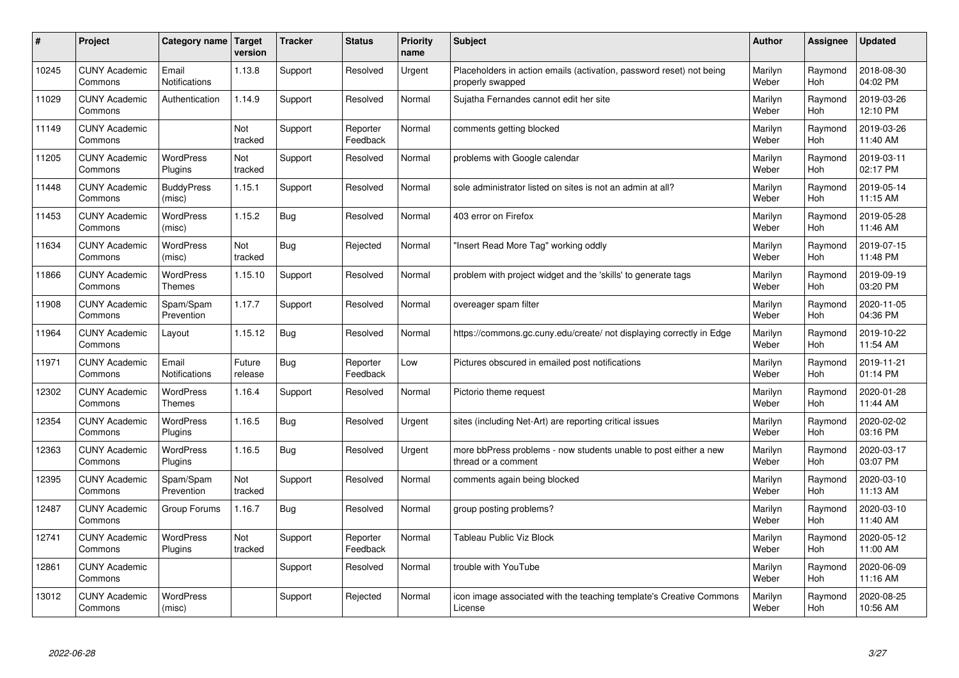| #     | Project                         | Category name                     | Target<br>version | <b>Tracker</b> | <b>Status</b>        | <b>Priority</b><br>name | <b>Subject</b>                                                                           | <b>Author</b>    | Assignee       | <b>Updated</b>         |
|-------|---------------------------------|-----------------------------------|-------------------|----------------|----------------------|-------------------------|------------------------------------------------------------------------------------------|------------------|----------------|------------------------|
| 10245 | <b>CUNY Academic</b><br>Commons | Email<br><b>Notifications</b>     | 1.13.8            | Support        | Resolved             | Urgent                  | Placeholders in action emails (activation, password reset) not being<br>properly swapped | Marilyn<br>Weber | Raymond<br>Hoh | 2018-08-30<br>04:02 PM |
| 11029 | <b>CUNY Academic</b><br>Commons | Authentication                    | 1.14.9            | Support        | Resolved             | Normal                  | Sujatha Fernandes cannot edit her site                                                   | Marilyn<br>Weber | Raymond<br>Hoh | 2019-03-26<br>12:10 PM |
| 11149 | <b>CUNY Academic</b><br>Commons |                                   | Not<br>tracked    | Support        | Reporter<br>Feedback | Normal                  | comments getting blocked                                                                 | Marilyn<br>Weber | Raymond<br>Hoh | 2019-03-26<br>11:40 AM |
| 11205 | <b>CUNY Academic</b><br>Commons | <b>WordPress</b><br>Plugins       | Not<br>tracked    | Support        | Resolved             | Normal                  | problems with Google calendar                                                            | Marilyn<br>Weber | Raymond<br>Hoh | 2019-03-11<br>02:17 PM |
| 11448 | <b>CUNY Academic</b><br>Commons | <b>BuddyPress</b><br>(misc)       | 1.15.1            | Support        | Resolved             | Normal                  | sole administrator listed on sites is not an admin at all?                               | Marilyn<br>Weber | Raymond<br>Hoh | 2019-05-14<br>11:15 AM |
| 11453 | <b>CUNY Academic</b><br>Commons | WordPress<br>(misc)               | 1.15.2            | <b>Bug</b>     | Resolved             | Normal                  | 403 error on Firefox                                                                     | Marilyn<br>Weber | Raymond<br>Hoh | 2019-05-28<br>11:46 AM |
| 11634 | <b>CUNY Academic</b><br>Commons | <b>WordPress</b><br>(misc)        | Not<br>tracked    | Bug            | Rejected             | Normal                  | 'Insert Read More Tag" working oddly                                                     | Marilyn<br>Weber | Raymond<br>Hoh | 2019-07-15<br>11:48 PM |
| 11866 | <b>CUNY Academic</b><br>Commons | <b>WordPress</b><br><b>Themes</b> | 1.15.10           | Support        | Resolved             | Normal                  | problem with project widget and the 'skills' to generate tags                            | Marilyn<br>Weber | Raymond<br>Hoh | 2019-09-19<br>03:20 PM |
| 11908 | <b>CUNY Academic</b><br>Commons | Spam/Spam<br>Prevention           | 1.17.7            | Support        | Resolved             | Normal                  | overeager spam filter                                                                    | Marilyn<br>Weber | Raymond<br>Hoh | 2020-11-05<br>04:36 PM |
| 11964 | <b>CUNY Academic</b><br>Commons | Layout                            | 1.15.12           | Bug            | Resolved             | Normal                  | https://commons.gc.cuny.edu/create/ not displaying correctly in Edge                     | Marilyn<br>Weber | Raymond<br>Hoh | 2019-10-22<br>11:54 AM |
| 11971 | <b>CUNY Academic</b><br>Commons | Email<br>Notifications            | Future<br>release | Bug            | Reporter<br>Feedback | Low                     | Pictures obscured in emailed post notifications                                          | Marilyn<br>Weber | Raymond<br>Hoh | 2019-11-21<br>01:14 PM |
| 12302 | <b>CUNY Academic</b><br>Commons | <b>WordPress</b><br><b>Themes</b> | 1.16.4            | Support        | Resolved             | Normal                  | Pictorio theme request                                                                   | Marilyn<br>Weber | Raymond<br>Hoh | 2020-01-28<br>11:44 AM |
| 12354 | <b>CUNY Academic</b><br>Commons | <b>WordPress</b><br>Plugins       | 1.16.5            | Bug            | Resolved             | Urgent                  | sites (including Net-Art) are reporting critical issues                                  | Marilyn<br>Weber | Raymond<br>Hoh | 2020-02-02<br>03:16 PM |
| 12363 | <b>CUNY Academic</b><br>Commons | <b>WordPress</b><br>Plugins       | 1.16.5            | <b>Bug</b>     | Resolved             | Urgent                  | more bbPress problems - now students unable to post either a new<br>thread or a comment  | Marilyn<br>Weber | Raymond<br>Hoh | 2020-03-17<br>03:07 PM |
| 12395 | <b>CUNY Academic</b><br>Commons | Spam/Spam<br>Prevention           | Not<br>tracked    | Support        | Resolved             | Normal                  | comments again being blocked                                                             | Marilyn<br>Weber | Raymond<br>Hoh | 2020-03-10<br>11:13 AM |
| 12487 | <b>CUNY Academic</b><br>Commons | Group Forums                      | 1.16.7            | <b>Bug</b>     | Resolved             | Normal                  | group posting problems?                                                                  | Marilyn<br>Weber | Raymond<br>Hoh | 2020-03-10<br>11:40 AM |
| 12741 | <b>CUNY Academic</b><br>Commons | <b>WordPress</b><br>Plugins       | Not<br>tracked    | Support        | Reporter<br>Feedback | Normal                  | <b>Tableau Public Viz Block</b>                                                          | Marilyn<br>Weber | Raymond<br>Hoh | 2020-05-12<br>11:00 AM |
| 12861 | <b>CUNY Academic</b><br>Commons |                                   |                   | Support        | Resolved             | Normal                  | trouble with YouTube                                                                     | Marilyn<br>Weber | Raymond<br>Hoh | 2020-06-09<br>11:16 AM |
| 13012 | <b>CUNY Academic</b><br>Commons | <b>WordPress</b><br>(misc)        |                   | Support        | Rejected             | Normal                  | icon image associated with the teaching template's Creative Commons<br>License           | Marilyn<br>Weber | Raymond<br>Hoh | 2020-08-25<br>10:56 AM |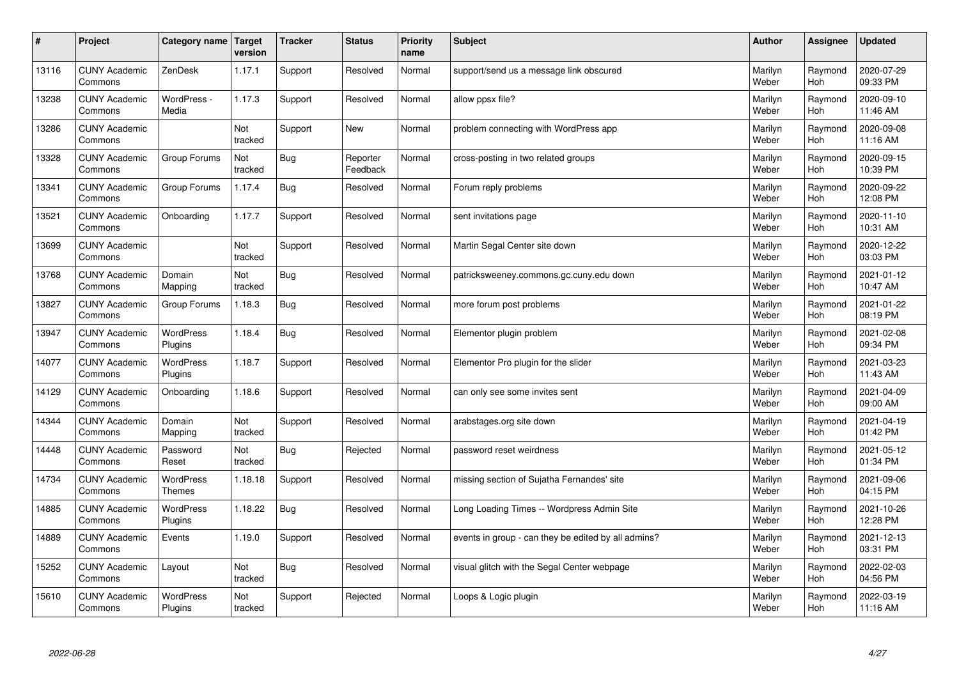| $\pmb{\#}$ | Project                         | Category name                     | Target<br>version | <b>Tracker</b> | <b>Status</b>        | <b>Priority</b><br>name | <b>Subject</b>                                      | <b>Author</b>    | Assignee              | <b>Updated</b>         |
|------------|---------------------------------|-----------------------------------|-------------------|----------------|----------------------|-------------------------|-----------------------------------------------------|------------------|-----------------------|------------------------|
| 13116      | <b>CUNY Academic</b><br>Commons | ZenDesk                           | 1.17.1            | Support        | Resolved             | Normal                  | support/send us a message link obscured             | Marilyn<br>Weber | Raymond<br>Hoh        | 2020-07-29<br>09:33 PM |
| 13238      | <b>CUNY Academic</b><br>Commons | WordPress -<br>Media              | 1.17.3            | Support        | Resolved             | Normal                  | allow ppsx file?                                    | Marilyn<br>Weber | Raymond<br>Hoh        | 2020-09-10<br>11:46 AM |
| 13286      | <b>CUNY Academic</b><br>Commons |                                   | Not<br>tracked    | Support        | <b>New</b>           | Normal                  | problem connecting with WordPress app               | Marilyn<br>Weber | Raymond<br><b>Hoh</b> | 2020-09-08<br>11:16 AM |
| 13328      | <b>CUNY Academic</b><br>Commons | Group Forums                      | Not<br>tracked    | Bug            | Reporter<br>Feedback | Normal                  | cross-posting in two related groups                 | Marilyn<br>Weber | Raymond<br><b>Hoh</b> | 2020-09-15<br>10:39 PM |
| 13341      | <b>CUNY Academic</b><br>Commons | Group Forums                      | 1.17.4            | <b>Bug</b>     | Resolved             | Normal                  | Forum reply problems                                | Marilyn<br>Weber | Raymond<br>Hoh        | 2020-09-22<br>12:08 PM |
| 13521      | <b>CUNY Academic</b><br>Commons | Onboarding                        | 1.17.7            | Support        | Resolved             | Normal                  | sent invitations page                               | Marilyn<br>Weber | Raymond<br>Hoh        | 2020-11-10<br>10:31 AM |
| 13699      | <b>CUNY Academic</b><br>Commons |                                   | Not<br>tracked    | Support        | Resolved             | Normal                  | Martin Segal Center site down                       | Marilyn<br>Weber | Raymond<br>Hoh        | 2020-12-22<br>03:03 PM |
| 13768      | <b>CUNY Academic</b><br>Commons | Domain<br>Mapping                 | Not<br>tracked    | <b>Bug</b>     | Resolved             | Normal                  | patricksweeney.commons.gc.cuny.edu down             | Marilyn<br>Weber | Raymond<br>Hoh        | 2021-01-12<br>10:47 AM |
| 13827      | <b>CUNY Academic</b><br>Commons | Group Forums                      | 1.18.3            | Bug            | Resolved             | Normal                  | more forum post problems                            | Marilyn<br>Weber | Raymond<br><b>Hoh</b> | 2021-01-22<br>08:19 PM |
| 13947      | <b>CUNY Academic</b><br>Commons | <b>WordPress</b><br>Plugins       | 1.18.4            | <b>Bug</b>     | Resolved             | Normal                  | Elementor plugin problem                            | Marilyn<br>Weber | Raymond<br>Hoh        | 2021-02-08<br>09:34 PM |
| 14077      | <b>CUNY Academic</b><br>Commons | WordPress<br>Plugins              | 1.18.7            | Support        | Resolved             | Normal                  | Elementor Pro plugin for the slider                 | Marilyn<br>Weber | Raymond<br>Hoh        | 2021-03-23<br>11:43 AM |
| 14129      | <b>CUNY Academic</b><br>Commons | Onboarding                        | 1.18.6            | Support        | Resolved             | Normal                  | can only see some invites sent                      | Marilyn<br>Weber | Raymond<br>Hoh        | 2021-04-09<br>09:00 AM |
| 14344      | <b>CUNY Academic</b><br>Commons | Domain<br>Mapping                 | Not<br>tracked    | Support        | Resolved             | Normal                  | arabstages.org site down                            | Marilyn<br>Weber | Raymond<br>Hoh        | 2021-04-19<br>01:42 PM |
| 14448      | <b>CUNY Academic</b><br>Commons | Password<br>Reset                 | Not<br>tracked    | <b>Bug</b>     | Rejected             | Normal                  | password reset weirdness                            | Marilyn<br>Weber | Raymond<br><b>Hoh</b> | 2021-05-12<br>01:34 PM |
| 14734      | <b>CUNY Academic</b><br>Commons | <b>WordPress</b><br><b>Themes</b> | 1.18.18           | Support        | Resolved             | Normal                  | missing section of Sujatha Fernandes' site          | Marilyn<br>Weber | Raymond<br>Hoh        | 2021-09-06<br>04:15 PM |
| 14885      | <b>CUNY Academic</b><br>Commons | <b>WordPress</b><br>Plugins       | 1.18.22           | <b>Bug</b>     | Resolved             | Normal                  | Long Loading Times -- Wordpress Admin Site          | Marilyn<br>Weber | Raymond<br>Hoh        | 2021-10-26<br>12:28 PM |
| 14889      | <b>CUNY Academic</b><br>Commons | Events                            | 1.19.0            | Support        | Resolved             | Normal                  | events in group - can they be edited by all admins? | Marilyn<br>Weber | Raymond<br>Hoh        | 2021-12-13<br>03:31 PM |
| 15252      | <b>CUNY Academic</b><br>Commons | Layout                            | Not<br>tracked    | <b>Bug</b>     | Resolved             | Normal                  | visual glitch with the Segal Center webpage         | Marilyn<br>Weber | Raymond<br>Hoh        | 2022-02-03<br>04:56 PM |
| 15610      | <b>CUNY Academic</b><br>Commons | <b>WordPress</b><br>Plugins       | Not<br>tracked    | Support        | Rejected             | Normal                  | Loops & Logic plugin                                | Marilyn<br>Weber | Raymond<br>Hoh        | 2022-03-19<br>11:16 AM |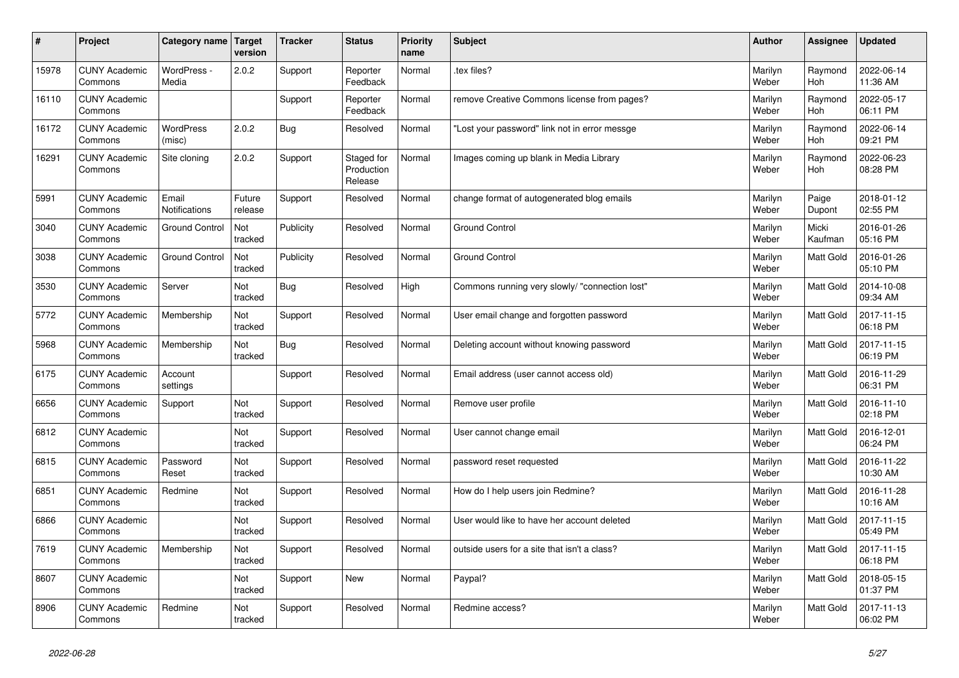| $\vert$ # | Project                         | Category name                 | Target<br>version | <b>Tracker</b> | <b>Status</b>                       | <b>Priority</b><br>name | <b>Subject</b>                                 | <b>Author</b>    | <b>Assignee</b>  | <b>Updated</b>         |
|-----------|---------------------------------|-------------------------------|-------------------|----------------|-------------------------------------|-------------------------|------------------------------------------------|------------------|------------------|------------------------|
| 15978     | <b>CUNY Academic</b><br>Commons | WordPress -<br>Media          | 2.0.2             | Support        | Reporter<br>Feedback                | Normal                  | tex files?                                     | Marilyn<br>Weber | Raymond<br>Hoh   | 2022-06-14<br>11:36 AM |
| 16110     | <b>CUNY Academic</b><br>Commons |                               |                   | Support        | Reporter<br>Feedback                | Normal                  | remove Creative Commons license from pages?    | Marilyn<br>Weber | Raymond<br>Hoh   | 2022-05-17<br>06:11 PM |
| 16172     | <b>CUNY Academic</b><br>Commons | <b>WordPress</b><br>(misc)    | 2.0.2             | Bug            | Resolved                            | Normal                  | 'Lost your password" link not in error messge  | Marilyn<br>Weber | Raymond<br>Hoh   | 2022-06-14<br>09:21 PM |
| 16291     | <b>CUNY Academic</b><br>Commons | Site cloning                  | 2.0.2             | Support        | Staged for<br>Production<br>Release | Normal                  | Images coming up blank in Media Library        | Marilyn<br>Weber | Raymond<br>Hoh   | 2022-06-23<br>08:28 PM |
| 5991      | <b>CUNY Academic</b><br>Commons | Email<br><b>Notifications</b> | Future<br>release | Support        | Resolved                            | Normal                  | change format of autogenerated blog emails     | Marilyn<br>Weber | Paige<br>Dupont  | 2018-01-12<br>02:55 PM |
| 3040      | <b>CUNY Academic</b><br>Commons | <b>Ground Control</b>         | Not<br>tracked    | Publicity      | Resolved                            | Normal                  | <b>Ground Control</b>                          | Marilyn<br>Weber | Micki<br>Kaufman | 2016-01-26<br>05:16 PM |
| 3038      | <b>CUNY Academic</b><br>Commons | <b>Ground Control</b>         | Not<br>tracked    | Publicity      | Resolved                            | Normal                  | <b>Ground Control</b>                          | Marilyn<br>Weber | Matt Gold        | 2016-01-26<br>05:10 PM |
| 3530      | <b>CUNY Academic</b><br>Commons | Server                        | Not<br>tracked    | <b>Bug</b>     | Resolved                            | High                    | Commons running very slowly/ "connection lost" | Marilyn<br>Weber | <b>Matt Gold</b> | 2014-10-08<br>09:34 AM |
| 5772      | <b>CUNY Academic</b><br>Commons | Membership                    | Not<br>tracked    | Support        | Resolved                            | Normal                  | User email change and forgotten password       | Marilyn<br>Weber | <b>Matt Gold</b> | 2017-11-15<br>06:18 PM |
| 5968      | <b>CUNY Academic</b><br>Commons | Membership                    | Not<br>tracked    | <b>Bug</b>     | Resolved                            | Normal                  | Deleting account without knowing password      | Marilyn<br>Weber | Matt Gold        | 2017-11-15<br>06:19 PM |
| 6175      | <b>CUNY Academic</b><br>Commons | Account<br>settings           |                   | Support        | Resolved                            | Normal                  | Email address (user cannot access old)         | Marilyn<br>Weber | <b>Matt Gold</b> | 2016-11-29<br>06:31 PM |
| 6656      | <b>CUNY Academic</b><br>Commons | Support                       | Not<br>tracked    | Support        | Resolved                            | Normal                  | Remove user profile                            | Marilyn<br>Weber | <b>Matt Gold</b> | 2016-11-10<br>02:18 PM |
| 6812      | <b>CUNY Academic</b><br>Commons |                               | Not<br>tracked    | Support        | Resolved                            | Normal                  | User cannot change email                       | Marilyn<br>Weber | Matt Gold        | 2016-12-01<br>06:24 PM |
| 6815      | <b>CUNY Academic</b><br>Commons | Password<br>Reset             | Not<br>tracked    | Support        | Resolved                            | Normal                  | password reset requested                       | Marilyn<br>Weber | Matt Gold        | 2016-11-22<br>10:30 AM |
| 6851      | <b>CUNY Academic</b><br>Commons | Redmine                       | Not<br>tracked    | Support        | Resolved                            | Normal                  | How do I help users join Redmine?              | Marilyn<br>Weber | <b>Matt Gold</b> | 2016-11-28<br>10:16 AM |
| 6866      | <b>CUNY Academic</b><br>Commons |                               | Not<br>tracked    | Support        | Resolved                            | Normal                  | User would like to have her account deleted    | Marilyn<br>Weber | Matt Gold        | 2017-11-15<br>05:49 PM |
| 7619      | <b>CUNY Academic</b><br>Commons | Membership                    | Not<br>tracked    | Support        | Resolved                            | Normal                  | outside users for a site that isn't a class?   | Marilyn<br>Weber | Matt Gold        | 2017-11-15<br>06:18 PM |
| 8607      | <b>CUNY Academic</b><br>Commons |                               | Not<br>tracked    | Support        | <b>New</b>                          | Normal                  | Paypal?                                        | Marilyn<br>Weber | <b>Matt Gold</b> | 2018-05-15<br>01:37 PM |
| 8906      | <b>CUNY Academic</b><br>Commons | Redmine                       | Not<br>tracked    | Support        | Resolved                            | Normal                  | Redmine access?                                | Marilyn<br>Weber | <b>Matt Gold</b> | 2017-11-13<br>06:02 PM |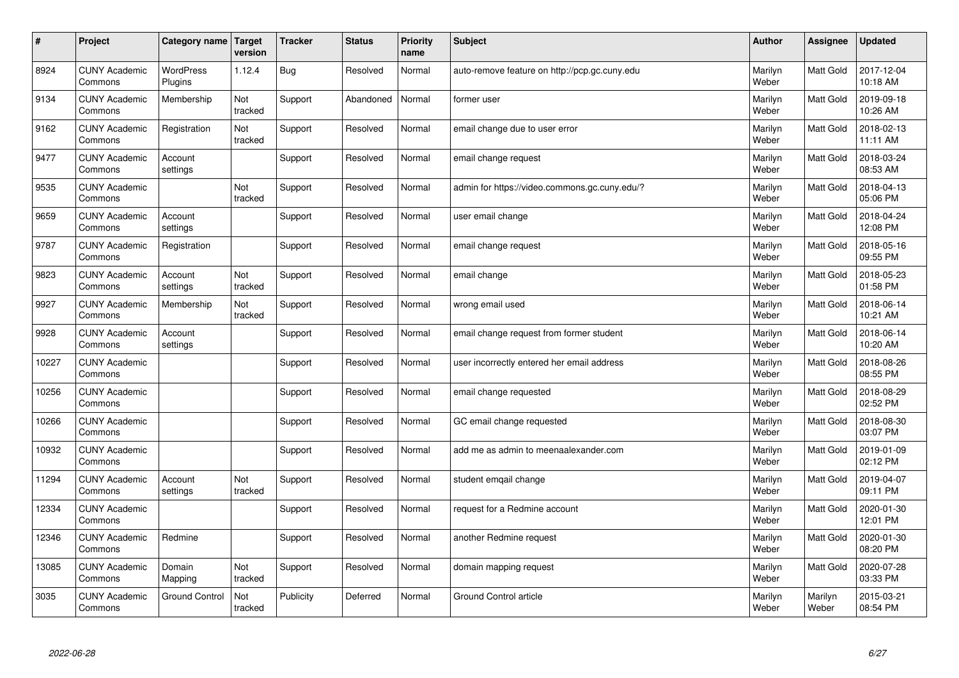| $\vert$ # | Project                         | Category name               | Target<br>version | <b>Tracker</b> | <b>Status</b> | <b>Priority</b><br>name | <b>Subject</b>                                | <b>Author</b>    | <b>Assignee</b>  | <b>Updated</b>         |
|-----------|---------------------------------|-----------------------------|-------------------|----------------|---------------|-------------------------|-----------------------------------------------|------------------|------------------|------------------------|
| 8924      | <b>CUNY Academic</b><br>Commons | <b>WordPress</b><br>Plugins | 1.12.4            | <b>Bug</b>     | Resolved      | Normal                  | auto-remove feature on http://pcp.gc.cuny.edu | Marilyn<br>Weber | <b>Matt Gold</b> | 2017-12-04<br>10:18 AM |
| 9134      | <b>CUNY Academic</b><br>Commons | Membership                  | Not<br>tracked    | Support        | Abandoned     | Normal                  | former user                                   | Marilyn<br>Weber | Matt Gold        | 2019-09-18<br>10:26 AM |
| 9162      | <b>CUNY Academic</b><br>Commons | Registration                | Not<br>tracked    | Support        | Resolved      | Normal                  | email change due to user error                | Marilyn<br>Weber | Matt Gold        | 2018-02-13<br>11:11 AM |
| 9477      | <b>CUNY Academic</b><br>Commons | Account<br>settings         |                   | Support        | Resolved      | Normal                  | email change request                          | Marilyn<br>Weber | <b>Matt Gold</b> | 2018-03-24<br>08:53 AM |
| 9535      | <b>CUNY Academic</b><br>Commons |                             | Not<br>tracked    | Support        | Resolved      | Normal                  | admin for https://video.commons.gc.cuny.edu/? | Marilyn<br>Weber | Matt Gold        | 2018-04-13<br>05:06 PM |
| 9659      | <b>CUNY Academic</b><br>Commons | Account<br>settings         |                   | Support        | Resolved      | Normal                  | user email change                             | Marilyn<br>Weber | Matt Gold        | 2018-04-24<br>12:08 PM |
| 9787      | <b>CUNY Academic</b><br>Commons | Registration                |                   | Support        | Resolved      | Normal                  | email change request                          | Marilyn<br>Weber | Matt Gold        | 2018-05-16<br>09:55 PM |
| 9823      | <b>CUNY Academic</b><br>Commons | Account<br>settings         | Not<br>tracked    | Support        | Resolved      | Normal                  | email change                                  | Marilyn<br>Weber | Matt Gold        | 2018-05-23<br>01:58 PM |
| 9927      | <b>CUNY Academic</b><br>Commons | Membership                  | Not<br>tracked    | Support        | Resolved      | Normal                  | wrong email used                              | Marilyn<br>Weber | Matt Gold        | 2018-06-14<br>10:21 AM |
| 9928      | <b>CUNY Academic</b><br>Commons | Account<br>settings         |                   | Support        | Resolved      | Normal                  | email change request from former student      | Marilyn<br>Weber | Matt Gold        | 2018-06-14<br>10:20 AM |
| 10227     | <b>CUNY Academic</b><br>Commons |                             |                   | Support        | Resolved      | Normal                  | user incorrectly entered her email address    | Marilyn<br>Weber | Matt Gold        | 2018-08-26<br>08:55 PM |
| 10256     | <b>CUNY Academic</b><br>Commons |                             |                   | Support        | Resolved      | Normal                  | email change requested                        | Marilyn<br>Weber | Matt Gold        | 2018-08-29<br>02:52 PM |
| 10266     | <b>CUNY Academic</b><br>Commons |                             |                   | Support        | Resolved      | Normal                  | GC email change requested                     | Marilyn<br>Weber | Matt Gold        | 2018-08-30<br>03:07 PM |
| 10932     | <b>CUNY Academic</b><br>Commons |                             |                   | Support        | Resolved      | Normal                  | add me as admin to meenaalexander.com         | Marilyn<br>Weber | Matt Gold        | 2019-01-09<br>02:12 PM |
| 11294     | <b>CUNY Academic</b><br>Commons | Account<br>settings         | Not<br>tracked    | Support        | Resolved      | Normal                  | student emqail change                         | Marilyn<br>Weber | Matt Gold        | 2019-04-07<br>09:11 PM |
| 12334     | <b>CUNY Academic</b><br>Commons |                             |                   | Support        | Resolved      | Normal                  | request for a Redmine account                 | Marilyn<br>Weber | Matt Gold        | 2020-01-30<br>12:01 PM |
| 12346     | <b>CUNY Academic</b><br>Commons | Redmine                     |                   | Support        | Resolved      | Normal                  | another Redmine request                       | Marilyn<br>Weber | Matt Gold        | 2020-01-30<br>08:20 PM |
| 13085     | <b>CUNY Academic</b><br>Commons | Domain<br>Mapping           | Not<br>tracked    | Support        | Resolved      | Normal                  | domain mapping request                        | Marilyn<br>Weber | <b>Matt Gold</b> | 2020-07-28<br>03:33 PM |
| 3035      | <b>CUNY Academic</b><br>Commons | <b>Ground Control</b>       | Not<br>tracked    | Publicity      | Deferred      | Normal                  | <b>Ground Control article</b>                 | Marilyn<br>Weber | Marilyn<br>Weber | 2015-03-21<br>08:54 PM |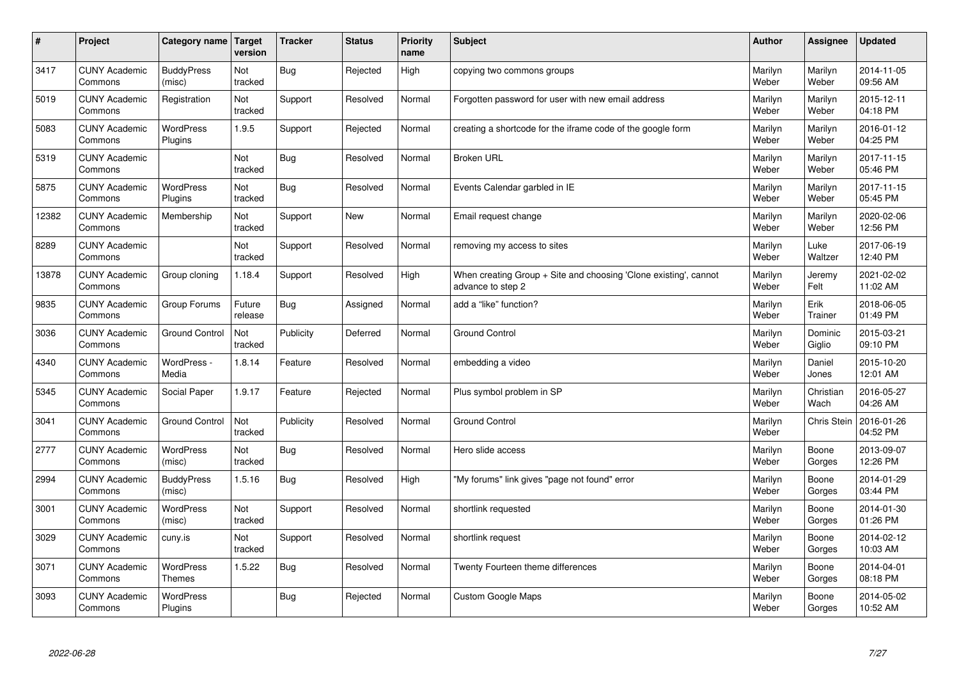| $\vert$ # | Project                         | Category name   Target      | version           | Tracker    | <b>Status</b> | <b>Priority</b><br>name | <b>Subject</b>                                                                        | <b>Author</b>    | Assignee          | <b>Updated</b>         |
|-----------|---------------------------------|-----------------------------|-------------------|------------|---------------|-------------------------|---------------------------------------------------------------------------------------|------------------|-------------------|------------------------|
| 3417      | <b>CUNY Academic</b><br>Commons | <b>BuddyPress</b><br>(misc) | Not<br>tracked    | <b>Bug</b> | Rejected      | High                    | copying two commons groups                                                            | Marilyn<br>Weber | Marilyn<br>Weber  | 2014-11-05<br>09:56 AM |
| 5019      | <b>CUNY Academic</b><br>Commons | Registration                | Not<br>tracked    | Support    | Resolved      | Normal                  | Forgotten password for user with new email address                                    | Marilyn<br>Weber | Marilyn<br>Weber  | 2015-12-11<br>04:18 PM |
| 5083      | <b>CUNY Academic</b><br>Commons | <b>WordPress</b><br>Plugins | 1.9.5             | Support    | Rejected      | Normal                  | creating a shortcode for the iframe code of the google form                           | Marilyn<br>Weber | Marilyn<br>Weber  | 2016-01-12<br>04:25 PM |
| 5319      | <b>CUNY Academic</b><br>Commons |                             | Not<br>tracked    | <b>Bug</b> | Resolved      | Normal                  | <b>Broken URL</b>                                                                     | Marilyn<br>Weber | Marilyn<br>Weber  | 2017-11-15<br>05:46 PM |
| 5875      | <b>CUNY Academic</b><br>Commons | <b>WordPress</b><br>Plugins | Not<br>tracked    | <b>Bug</b> | Resolved      | Normal                  | Events Calendar garbled in IE                                                         | Marilyn<br>Weber | Marilyn<br>Weber  | 2017-11-15<br>05:45 PM |
| 12382     | <b>CUNY Academic</b><br>Commons | Membership                  | Not<br>tracked    | Support    | <b>New</b>    | Normal                  | Email request change                                                                  | Marilyn<br>Weber | Marilyn<br>Weber  | 2020-02-06<br>12:56 PM |
| 8289      | <b>CUNY Academic</b><br>Commons |                             | Not<br>tracked    | Support    | Resolved      | Normal                  | removing my access to sites                                                           | Marilyn<br>Weber | Luke<br>Waltzer   | 2017-06-19<br>12:40 PM |
| 13878     | <b>CUNY Academic</b><br>Commons | Group cloning               | 1.18.4            | Support    | Resolved      | High                    | When creating Group + Site and choosing 'Clone existing', cannot<br>advance to step 2 | Marilyn<br>Weber | Jeremy<br>Felt    | 2021-02-02<br>11:02 AM |
| 9835      | <b>CUNY Academic</b><br>Commons | Group Forums                | Future<br>release | Bug        | Assigned      | Normal                  | add a "like" function?                                                                | Marilyn<br>Weber | Erik<br>Trainer   | 2018-06-05<br>01:49 PM |
| 3036      | <b>CUNY Academic</b><br>Commons | <b>Ground Control</b>       | Not<br>tracked    | Publicity  | Deferred      | Normal                  | <b>Ground Control</b>                                                                 | Marilyn<br>Weber | Dominic<br>Giglio | 2015-03-21<br>09:10 PM |
| 4340      | <b>CUNY Academic</b><br>Commons | WordPress -<br>Media        | 1.8.14            | Feature    | Resolved      | Normal                  | embedding a video                                                                     | Marilyn<br>Weber | Daniel<br>Jones   | 2015-10-20<br>12:01 AM |
| 5345      | <b>CUNY Academic</b><br>Commons | Social Paper                | 1.9.17            | Feature    | Rejected      | Normal                  | Plus symbol problem in SP                                                             | Marilyn<br>Weber | Christian<br>Wach | 2016-05-27<br>04:26 AM |
| 3041      | <b>CUNY Academic</b><br>Commons | Ground Control              | Not<br>tracked    | Publicity  | Resolved      | Normal                  | <b>Ground Control</b>                                                                 | Marilyn<br>Weber | Chris Stein       | 2016-01-26<br>04:52 PM |
| 2777      | <b>CUNY Academic</b><br>Commons | WordPress<br>(misc)         | Not<br>tracked    | <b>Bug</b> | Resolved      | Normal                  | Hero slide access                                                                     | Marilyn<br>Weber | Boone<br>Gorges   | 2013-09-07<br>12:26 PM |
| 2994      | <b>CUNY Academic</b><br>Commons | <b>BuddyPress</b><br>(misc) | 1.5.16            | Bug        | Resolved      | High                    | "My forums" link gives "page not found" error                                         | Marilyn<br>Weber | Boone<br>Gorges   | 2014-01-29<br>03:44 PM |
| 3001      | <b>CUNY Academic</b><br>Commons | WordPress<br>(misc)         | Not<br>tracked    | Support    | Resolved      | Normal                  | shortlink requested                                                                   | Marilyn<br>Weber | Boone<br>Gorges   | 2014-01-30<br>01:26 PM |
| 3029      | <b>CUNY Academic</b><br>Commons | cuny.is                     | Not<br>tracked    | Support    | Resolved      | Normal                  | shortlink request                                                                     | Marilyn<br>Weber | Boone<br>Gorges   | 2014-02-12<br>10:03 AM |
| 3071      | <b>CUNY Academic</b><br>Commons | WordPress<br><b>Themes</b>  | 1.5.22            | Bug        | Resolved      | Normal                  | Twenty Fourteen theme differences                                                     | Marilyn<br>Weber | Boone<br>Gorges   | 2014-04-01<br>08:18 PM |
| 3093      | <b>CUNY Academic</b><br>Commons | <b>WordPress</b><br>Plugins |                   | <b>Bug</b> | Rejected      | Normal                  | <b>Custom Google Maps</b>                                                             | Marilyn<br>Weber | Boone<br>Gorges   | 2014-05-02<br>10:52 AM |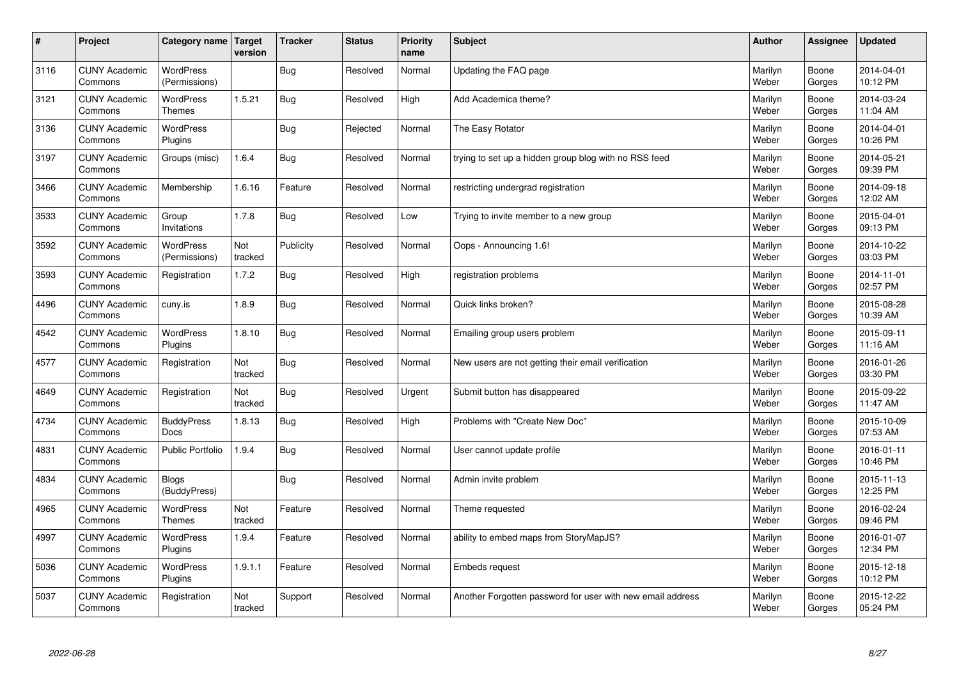| $\sharp$ | Project                         | Category name   Target            | version        | <b>Tracker</b> | <b>Status</b> | <b>Priority</b><br>name | <b>Subject</b>                                             | <b>Author</b>    | <b>Assignee</b> | <b>Updated</b>         |
|----------|---------------------------------|-----------------------------------|----------------|----------------|---------------|-------------------------|------------------------------------------------------------|------------------|-----------------|------------------------|
| 3116     | <b>CUNY Academic</b><br>Commons | <b>WordPress</b><br>(Permissions) |                | Bug            | Resolved      | Normal                  | Updating the FAQ page                                      | Marilyn<br>Weber | Boone<br>Gorges | 2014-04-01<br>10:12 PM |
| 3121     | <b>CUNY Academic</b><br>Commons | WordPress<br>Themes               | 1.5.21         | Bug            | Resolved      | High                    | Add Academica theme?                                       | Marilyn<br>Weber | Boone<br>Gorges | 2014-03-24<br>11:04 AM |
| 3136     | <b>CUNY Academic</b><br>Commons | <b>WordPress</b><br>Plugins       |                | <b>Bug</b>     | Rejected      | Normal                  | The Easy Rotator                                           | Marilyn<br>Weber | Boone<br>Gorges | 2014-04-01<br>10:26 PM |
| 3197     | <b>CUNY Academic</b><br>Commons | Groups (misc)                     | 1.6.4          | <b>Bug</b>     | Resolved      | Normal                  | trying to set up a hidden group blog with no RSS feed      | Marilyn<br>Weber | Boone<br>Gorges | 2014-05-21<br>09:39 PM |
| 3466     | <b>CUNY Academic</b><br>Commons | Membership                        | 1.6.16         | Feature        | Resolved      | Normal                  | restricting undergrad registration                         | Marilyn<br>Weber | Boone<br>Gorges | 2014-09-18<br>12:02 AM |
| 3533     | <b>CUNY Academic</b><br>Commons | Group<br>Invitations              | 1.7.8          | Bug            | Resolved      | Low                     | Trying to invite member to a new group                     | Marilyn<br>Weber | Boone<br>Gorges | 2015-04-01<br>09:13 PM |
| 3592     | <b>CUNY Academic</b><br>Commons | <b>WordPress</b><br>(Permissions) | Not<br>tracked | Publicity      | Resolved      | Normal                  | Oops - Announcing 1.6!                                     | Marilyn<br>Weber | Boone<br>Gorges | 2014-10-22<br>03:03 PM |
| 3593     | <b>CUNY Academic</b><br>Commons | Registration                      | 1.7.2          | Bug            | Resolved      | High                    | registration problems                                      | Marilyn<br>Weber | Boone<br>Gorges | 2014-11-01<br>02:57 PM |
| 4496     | <b>CUNY Academic</b><br>Commons | cuny.is                           | 1.8.9          | Bug            | Resolved      | Normal                  | Quick links broken?                                        | Marilyn<br>Weber | Boone<br>Gorges | 2015-08-28<br>10:39 AM |
| 4542     | <b>CUNY Academic</b><br>Commons | <b>WordPress</b><br>Plugins       | 1.8.10         | <b>Bug</b>     | Resolved      | Normal                  | Emailing group users problem                               | Marilyn<br>Weber | Boone<br>Gorges | 2015-09-11<br>11:16 AM |
| 4577     | <b>CUNY Academic</b><br>Commons | Registration                      | Not<br>tracked | Bug            | Resolved      | Normal                  | New users are not getting their email verification         | Marilyn<br>Weber | Boone<br>Gorges | 2016-01-26<br>03:30 PM |
| 4649     | <b>CUNY Academic</b><br>Commons | Registration                      | Not<br>tracked | Bug            | Resolved      | Urgent                  | Submit button has disappeared                              | Marilyn<br>Weber | Boone<br>Gorges | 2015-09-22<br>11:47 AM |
| 4734     | <b>CUNY Academic</b><br>Commons | <b>BuddyPress</b><br>Docs         | 1.8.13         | Bug            | Resolved      | High                    | Problems with "Create New Doc"                             | Marilyn<br>Weber | Boone<br>Gorges | 2015-10-09<br>07:53 AM |
| 4831     | <b>CUNY Academic</b><br>Commons | <b>Public Portfolio</b>           | 1.9.4          | Bug            | Resolved      | Normal                  | User cannot update profile                                 | Marilyn<br>Weber | Boone<br>Gorges | 2016-01-11<br>10:46 PM |
| 4834     | <b>CUNY Academic</b><br>Commons | <b>Blogs</b><br>(BuddyPress)      |                | <b>Bug</b>     | Resolved      | Normal                  | Admin invite problem                                       | Marilyn<br>Weber | Boone<br>Gorges | 2015-11-13<br>12:25 PM |
| 4965     | <b>CUNY Academic</b><br>Commons | <b>WordPress</b><br><b>Themes</b> | Not<br>tracked | Feature        | Resolved      | Normal                  | Theme requested                                            | Marilyn<br>Weber | Boone<br>Gorges | 2016-02-24<br>09:46 PM |
| 4997     | <b>CUNY Academic</b><br>Commons | <b>WordPress</b><br>Plugins       | 1.9.4          | Feature        | Resolved      | Normal                  | ability to embed maps from StoryMapJS?                     | Marilyn<br>Weber | Boone<br>Gorges | 2016-01-07<br>12:34 PM |
| 5036     | <b>CUNY Academic</b><br>Commons | WordPress<br>Plugins              | 1.9.1.1        | Feature        | Resolved      | Normal                  | <b>Embeds request</b>                                      | Marilyn<br>Weber | Boone<br>Gorges | 2015-12-18<br>10:12 PM |
| 5037     | <b>CUNY Academic</b><br>Commons | Registration                      | Not<br>tracked | Support        | Resolved      | Normal                  | Another Forgotten password for user with new email address | Marilyn<br>Weber | Boone<br>Gorges | 2015-12-22<br>05:24 PM |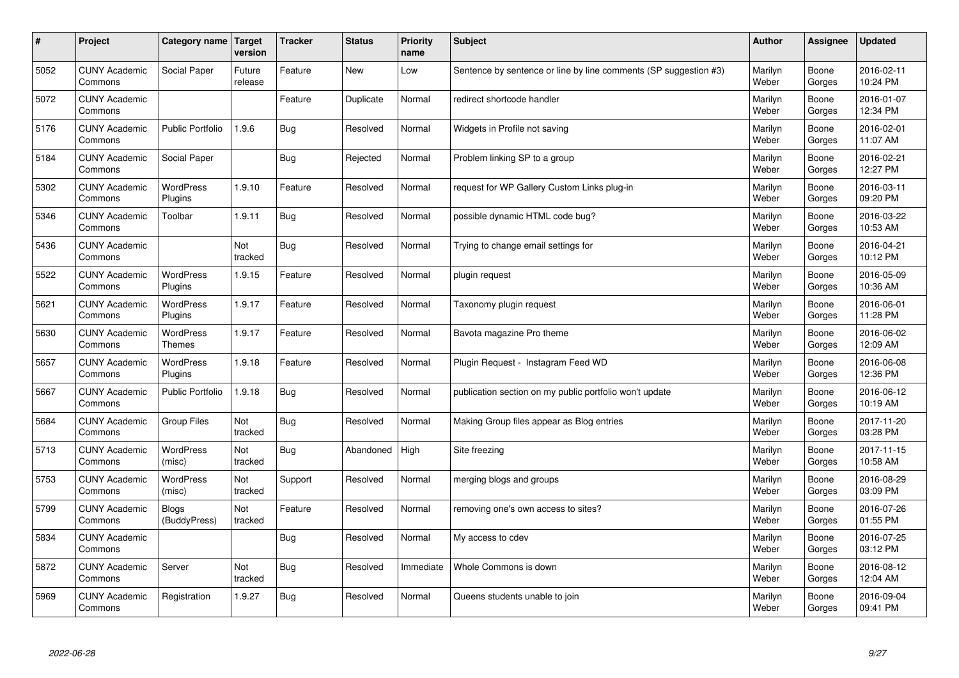| $\sharp$ | Project                         | Category name   Target            | version           | <b>Tracker</b> | <b>Status</b> | <b>Priority</b><br>name | <b>Subject</b>                                                   | <b>Author</b>    | Assignee        | <b>Updated</b>         |
|----------|---------------------------------|-----------------------------------|-------------------|----------------|---------------|-------------------------|------------------------------------------------------------------|------------------|-----------------|------------------------|
| 5052     | <b>CUNY Academic</b><br>Commons | Social Paper                      | Future<br>release | Feature        | <b>New</b>    | Low                     | Sentence by sentence or line by line comments (SP suggestion #3) | Marilyn<br>Weber | Boone<br>Gorges | 2016-02-11<br>10:24 PM |
| 5072     | <b>CUNY Academic</b><br>Commons |                                   |                   | Feature        | Duplicate     | Normal                  | redirect shortcode handler                                       | Marilyn<br>Weber | Boone<br>Gorges | 2016-01-07<br>12:34 PM |
| 5176     | <b>CUNY Academic</b><br>Commons | <b>Public Portfolio</b>           | 1.9.6             | Bug            | Resolved      | Normal                  | Widgets in Profile not saving                                    | Marilyn<br>Weber | Boone<br>Gorges | 2016-02-01<br>11:07 AM |
| 5184     | <b>CUNY Academic</b><br>Commons | Social Paper                      |                   | <b>Bug</b>     | Rejected      | Normal                  | Problem linking SP to a group                                    | Marilyn<br>Weber | Boone<br>Gorges | 2016-02-21<br>12:27 PM |
| 5302     | <b>CUNY Academic</b><br>Commons | <b>WordPress</b><br>Plugins       | 1.9.10            | Feature        | Resolved      | Normal                  | request for WP Gallery Custom Links plug-in                      | Marilyn<br>Weber | Boone<br>Gorges | 2016-03-11<br>09:20 PM |
| 5346     | <b>CUNY Academic</b><br>Commons | Toolbar                           | 1.9.11            | Bug            | Resolved      | Normal                  | possible dynamic HTML code bug?                                  | Marilyn<br>Weber | Boone<br>Gorges | 2016-03-22<br>10:53 AM |
| 5436     | <b>CUNY Academic</b><br>Commons |                                   | Not<br>tracked    | <b>Bug</b>     | Resolved      | Normal                  | Trying to change email settings for                              | Marilyn<br>Weber | Boone<br>Gorges | 2016-04-21<br>10:12 PM |
| 5522     | <b>CUNY Academic</b><br>Commons | WordPress<br>Plugins              | 1.9.15            | Feature        | Resolved      | Normal                  | plugin request                                                   | Marilyn<br>Weber | Boone<br>Gorges | 2016-05-09<br>10:36 AM |
| 5621     | <b>CUNY Academic</b><br>Commons | WordPress<br>Plugins              | 1.9.17            | Feature        | Resolved      | Normal                  | Taxonomy plugin request                                          | Marilyn<br>Weber | Boone<br>Gorges | 2016-06-01<br>11:28 PM |
| 5630     | <b>CUNY Academic</b><br>Commons | <b>WordPress</b><br><b>Themes</b> | 1.9.17            | Feature        | Resolved      | Normal                  | Bavota magazine Pro theme                                        | Marilyn<br>Weber | Boone<br>Gorges | 2016-06-02<br>12:09 AM |
| 5657     | <b>CUNY Academic</b><br>Commons | <b>WordPress</b><br>Plugins       | 1.9.18            | Feature        | Resolved      | Normal                  | Plugin Request - Instagram Feed WD                               | Marilyn<br>Weber | Boone<br>Gorges | 2016-06-08<br>12:36 PM |
| 5667     | <b>CUNY Academic</b><br>Commons | Public Portfolio                  | 1.9.18            | <b>Bug</b>     | Resolved      | Normal                  | publication section on my public portfolio won't update          | Marilyn<br>Weber | Boone<br>Gorges | 2016-06-12<br>10:19 AM |
| 5684     | <b>CUNY Academic</b><br>Commons | Group Files                       | Not<br>tracked    | <b>Bug</b>     | Resolved      | Normal                  | Making Group files appear as Blog entries                        | Marilyn<br>Weber | Boone<br>Gorges | 2017-11-20<br>03:28 PM |
| 5713     | <b>CUNY Academic</b><br>Commons | <b>WordPress</b><br>(misc)        | Not<br>tracked    | <b>Bug</b>     | Abandoned     | High                    | Site freezing                                                    | Marilyn<br>Weber | Boone<br>Gorges | 2017-11-15<br>10:58 AM |
| 5753     | <b>CUNY Academic</b><br>Commons | WordPress<br>(misc)               | Not<br>tracked    | Support        | Resolved      | Normal                  | merging blogs and groups                                         | Marilyn<br>Weber | Boone<br>Gorges | 2016-08-29<br>03:09 PM |
| 5799     | <b>CUNY Academic</b><br>Commons | <b>Blogs</b><br>(BuddyPress)      | Not<br>tracked    | Feature        | Resolved      | Normal                  | removing one's own access to sites?                              | Marilyn<br>Weber | Boone<br>Gorges | 2016-07-26<br>01:55 PM |
| 5834     | <b>CUNY Academic</b><br>Commons |                                   |                   | Bug            | Resolved      | Normal                  | My access to cdev                                                | Marilyn<br>Weber | Boone<br>Gorges | 2016-07-25<br>03:12 PM |
| 5872     | <b>CUNY Academic</b><br>Commons | Server                            | Not<br>tracked    | <b>Bug</b>     | Resolved      | Immediate               | Whole Commons is down                                            | Marilyn<br>Weber | Boone<br>Gorges | 2016-08-12<br>12:04 AM |
| 5969     | <b>CUNY Academic</b><br>Commons | Registration                      | 1.9.27            | Bug            | Resolved      | Normal                  | Queens students unable to join                                   | Marilyn<br>Weber | Boone<br>Gorges | 2016-09-04<br>09:41 PM |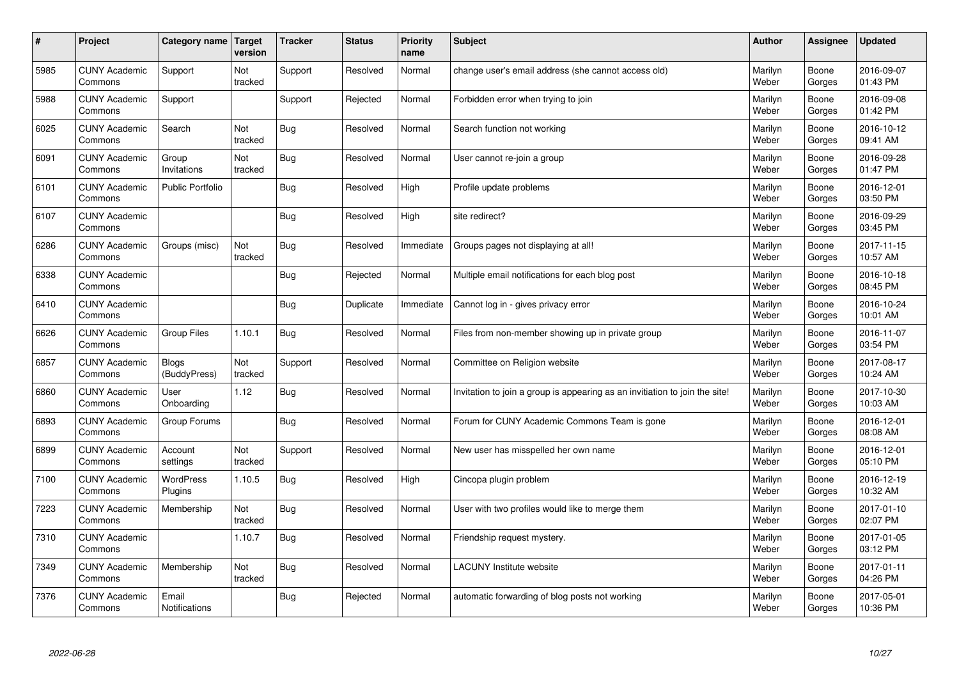| $\sharp$ | Project                         | Category name   Target        | version        | <b>Tracker</b> | <b>Status</b> | <b>Priority</b><br>name | <b>Subject</b>                                                              | <b>Author</b>    | Assignee        | <b>Updated</b>         |
|----------|---------------------------------|-------------------------------|----------------|----------------|---------------|-------------------------|-----------------------------------------------------------------------------|------------------|-----------------|------------------------|
| 5985     | <b>CUNY Academic</b><br>Commons | Support                       | Not<br>tracked | Support        | Resolved      | Normal                  | change user's email address (she cannot access old)                         | Marilyn<br>Weber | Boone<br>Gorges | 2016-09-07<br>01:43 PM |
| 5988     | <b>CUNY Academic</b><br>Commons | Support                       |                | Support        | Rejected      | Normal                  | Forbidden error when trying to join                                         | Marilyn<br>Weber | Boone<br>Gorges | 2016-09-08<br>01:42 PM |
| 6025     | <b>CUNY Academic</b><br>Commons | Search                        | Not<br>tracked | <b>Bug</b>     | Resolved      | Normal                  | Search function not working                                                 | Marilyn<br>Weber | Boone<br>Gorges | 2016-10-12<br>09:41 AM |
| 6091     | <b>CUNY Academic</b><br>Commons | Group<br>Invitations          | Not<br>tracked | <b>Bug</b>     | Resolved      | Normal                  | User cannot re-join a group                                                 | Marilyn<br>Weber | Boone<br>Gorges | 2016-09-28<br>01:47 PM |
| 6101     | <b>CUNY Academic</b><br>Commons | <b>Public Portfolio</b>       |                | Bug            | Resolved      | High                    | Profile update problems                                                     | Marilyn<br>Weber | Boone<br>Gorges | 2016-12-01<br>03:50 PM |
| 6107     | <b>CUNY Academic</b><br>Commons |                               |                | <b>Bug</b>     | Resolved      | High                    | site redirect?                                                              | Marilyn<br>Weber | Boone<br>Gorges | 2016-09-29<br>03:45 PM |
| 6286     | <b>CUNY Academic</b><br>Commons | Groups (misc)                 | Not<br>tracked | Bug            | Resolved      | Immediate               | Groups pages not displaying at all!                                         | Marilyn<br>Weber | Boone<br>Gorges | 2017-11-15<br>10:57 AM |
| 6338     | <b>CUNY Academic</b><br>Commons |                               |                | Bug            | Rejected      | Normal                  | Multiple email notifications for each blog post                             | Marilyn<br>Weber | Boone<br>Gorges | 2016-10-18<br>08:45 PM |
| 6410     | <b>CUNY Academic</b><br>Commons |                               |                | Bug            | Duplicate     | Immediate               | Cannot log in - gives privacy error                                         | Marilyn<br>Weber | Boone<br>Gorges | 2016-10-24<br>10:01 AM |
| 6626     | <b>CUNY Academic</b><br>Commons | Group Files                   | 1.10.1         | Bug            | Resolved      | Normal                  | Files from non-member showing up in private group                           | Marilyn<br>Weber | Boone<br>Gorges | 2016-11-07<br>03:54 PM |
| 6857     | <b>CUNY Academic</b><br>Commons | <b>Blogs</b><br>(BuddyPress)  | Not<br>tracked | Support        | Resolved      | Normal                  | Committee on Religion website                                               | Marilyn<br>Weber | Boone<br>Gorges | 2017-08-17<br>10:24 AM |
| 6860     | <b>CUNY Academic</b><br>Commons | User<br>Onboarding            | 1.12           | Bug            | Resolved      | Normal                  | Invitation to join a group is appearing as an invitiation to join the site! | Marilyn<br>Weber | Boone<br>Gorges | 2017-10-30<br>10:03 AM |
| 6893     | <b>CUNY Academic</b><br>Commons | Group Forums                  |                | Bug            | Resolved      | Normal                  | Forum for CUNY Academic Commons Team is gone                                | Marilyn<br>Weber | Boone<br>Gorges | 2016-12-01<br>08:08 AM |
| 6899     | <b>CUNY Academic</b><br>Commons | Account<br>settings           | Not<br>tracked | Support        | Resolved      | Normal                  | New user has misspelled her own name                                        | Marilyn<br>Weber | Boone<br>Gorges | 2016-12-01<br>05:10 PM |
| 7100     | <b>CUNY Academic</b><br>Commons | <b>WordPress</b><br>Plugins   | 1.10.5         | <b>Bug</b>     | Resolved      | High                    | Cincopa plugin problem                                                      | Marilyn<br>Weber | Boone<br>Gorges | 2016-12-19<br>10:32 AM |
| 7223     | <b>CUNY Academic</b><br>Commons | Membership                    | Not<br>tracked | Bug            | Resolved      | Normal                  | User with two profiles would like to merge them                             | Marilyn<br>Weber | Boone<br>Gorges | 2017-01-10<br>02:07 PM |
| 7310     | <b>CUNY Academic</b><br>Commons |                               | 1.10.7         | <b>Bug</b>     | Resolved      | Normal                  | Friendship request mystery.                                                 | Marilyn<br>Weber | Boone<br>Gorges | 2017-01-05<br>03:12 PM |
| 7349     | <b>CUNY Academic</b><br>Commons | Membership                    | Not<br>tracked | Bug            | Resolved      | Normal                  | <b>LACUNY</b> Institute website                                             | Marilyn<br>Weber | Boone<br>Gorges | 2017-01-11<br>04:26 PM |
| 7376     | <b>CUNY Academic</b><br>Commons | Email<br><b>Notifications</b> |                | Bug            | Rejected      | Normal                  | automatic forwarding of blog posts not working                              | Marilyn<br>Weber | Boone<br>Gorges | 2017-05-01<br>10:36 PM |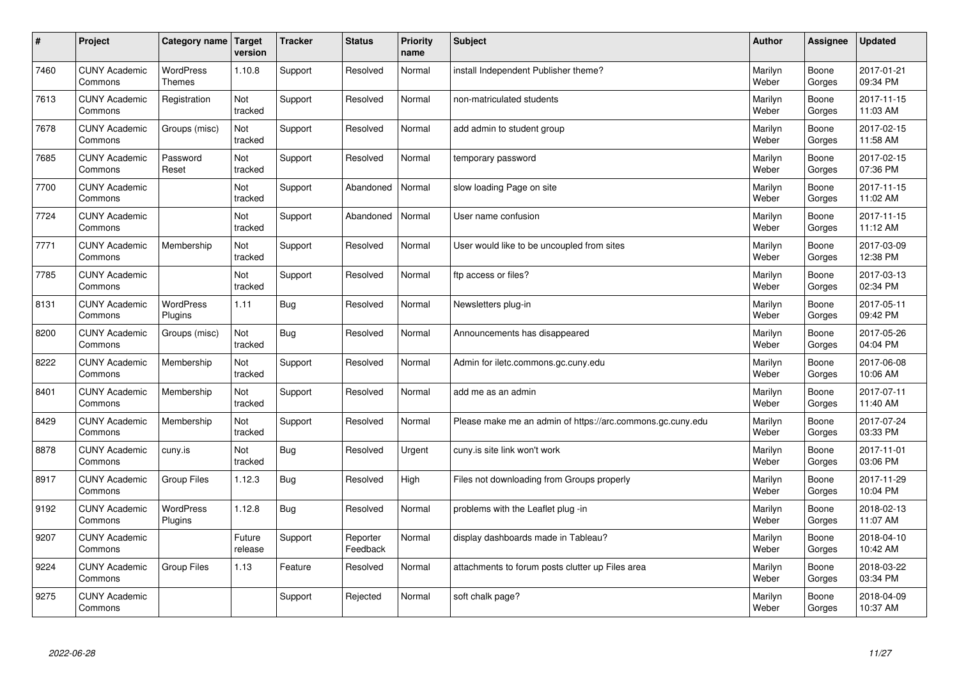| $\vert$ # | Project                         | Category name                     | <b>Target</b><br>version | <b>Tracker</b> | <b>Status</b>        | <b>Priority</b><br>name | <b>Subject</b>                                             | <b>Author</b>    | Assignee        | <b>Updated</b>         |
|-----------|---------------------------------|-----------------------------------|--------------------------|----------------|----------------------|-------------------------|------------------------------------------------------------|------------------|-----------------|------------------------|
| 7460      | <b>CUNY Academic</b><br>Commons | <b>WordPress</b><br><b>Themes</b> | 1.10.8                   | Support        | Resolved             | Normal                  | install Independent Publisher theme?                       | Marilyn<br>Weber | Boone<br>Gorges | 2017-01-21<br>09:34 PM |
| 7613      | <b>CUNY Academic</b><br>Commons | Registration                      | Not<br>tracked           | Support        | Resolved             | Normal                  | non-matriculated students                                  | Marilyn<br>Weber | Boone<br>Gorges | 2017-11-15<br>11:03 AM |
| 7678      | <b>CUNY Academic</b><br>Commons | Groups (misc)                     | Not<br>tracked           | Support        | Resolved             | Normal                  | add admin to student group                                 | Marilyn<br>Weber | Boone<br>Gorges | 2017-02-15<br>11:58 AM |
| 7685      | <b>CUNY Academic</b><br>Commons | Password<br>Reset                 | Not<br>tracked           | Support        | Resolved             | Normal                  | temporary password                                         | Marilyn<br>Weber | Boone<br>Gorges | 2017-02-15<br>07:36 PM |
| 7700      | <b>CUNY Academic</b><br>Commons |                                   | Not<br>tracked           | Support        | Abandoned            | Normal                  | slow loading Page on site                                  | Marilyn<br>Weber | Boone<br>Gorges | 2017-11-15<br>11:02 AM |
| 7724      | <b>CUNY Academic</b><br>Commons |                                   | Not<br>tracked           | Support        | Abandoned            | Normal                  | User name confusion                                        | Marilyn<br>Weber | Boone<br>Gorges | 2017-11-15<br>11:12 AM |
| 7771      | <b>CUNY Academic</b><br>Commons | Membership                        | Not<br>tracked           | Support        | Resolved             | Normal                  | User would like to be uncoupled from sites                 | Marilyn<br>Weber | Boone<br>Gorges | 2017-03-09<br>12:38 PM |
| 7785      | <b>CUNY Academic</b><br>Commons |                                   | Not<br>tracked           | Support        | Resolved             | Normal                  | ftp access or files?                                       | Marilyn<br>Weber | Boone<br>Gorges | 2017-03-13<br>02:34 PM |
| 8131      | <b>CUNY Academic</b><br>Commons | WordPress<br>Plugins              | 1.11                     | Bug            | Resolved             | Normal                  | Newsletters plug-in                                        | Marilyn<br>Weber | Boone<br>Gorges | 2017-05-11<br>09:42 PM |
| 8200      | <b>CUNY Academic</b><br>Commons | Groups (misc)                     | Not<br>tracked           | Bug            | Resolved             | Normal                  | Announcements has disappeared                              | Marilyn<br>Weber | Boone<br>Gorges | 2017-05-26<br>04:04 PM |
| 8222      | <b>CUNY Academic</b><br>Commons | Membership                        | Not<br>tracked           | Support        | Resolved             | Normal                  | Admin for iletc.commons.gc.cuny.edu                        | Marilyn<br>Weber | Boone<br>Gorges | 2017-06-08<br>10:06 AM |
| 8401      | <b>CUNY Academic</b><br>Commons | Membership                        | Not<br>tracked           | Support        | Resolved             | Normal                  | add me as an admin                                         | Marilyn<br>Weber | Boone<br>Gorges | 2017-07-11<br>11:40 AM |
| 8429      | <b>CUNY Academic</b><br>Commons | Membership                        | Not<br>tracked           | Support        | Resolved             | Normal                  | Please make me an admin of https://arc.commons.gc.cuny.edu | Marilyn<br>Weber | Boone<br>Gorges | 2017-07-24<br>03:33 PM |
| 8878      | <b>CUNY Academic</b><br>Commons | cuny.is                           | Not<br>tracked           | <b>Bug</b>     | Resolved             | Urgent                  | cuny.is site link won't work                               | Marilyn<br>Weber | Boone<br>Gorges | 2017-11-01<br>03:06 PM |
| 8917      | <b>CUNY Academic</b><br>Commons | <b>Group Files</b>                | 1.12.3                   | <b>Bug</b>     | Resolved             | High                    | Files not downloading from Groups properly                 | Marilyn<br>Weber | Boone<br>Gorges | 2017-11-29<br>10:04 PM |
| 9192      | <b>CUNY Academic</b><br>Commons | WordPress<br>Plugins              | 1.12.8                   | <b>Bug</b>     | Resolved             | Normal                  | problems with the Leaflet plug -in                         | Marilyn<br>Weber | Boone<br>Gorges | 2018-02-13<br>11:07 AM |
| 9207      | <b>CUNY Academic</b><br>Commons |                                   | Future<br>release        | Support        | Reporter<br>Feedback | Normal                  | display dashboards made in Tableau?                        | Marilyn<br>Weber | Boone<br>Gorges | 2018-04-10<br>10:42 AM |
| 9224      | <b>CUNY Academic</b><br>Commons | Group Files                       | 1.13                     | Feature        | Resolved             | Normal                  | attachments to forum posts clutter up Files area           | Marilyn<br>Weber | Boone<br>Gorges | 2018-03-22<br>03:34 PM |
| 9275      | <b>CUNY Academic</b><br>Commons |                                   |                          | Support        | Rejected             | Normal                  | soft chalk page?                                           | Marilyn<br>Weber | Boone<br>Gorges | 2018-04-09<br>10:37 AM |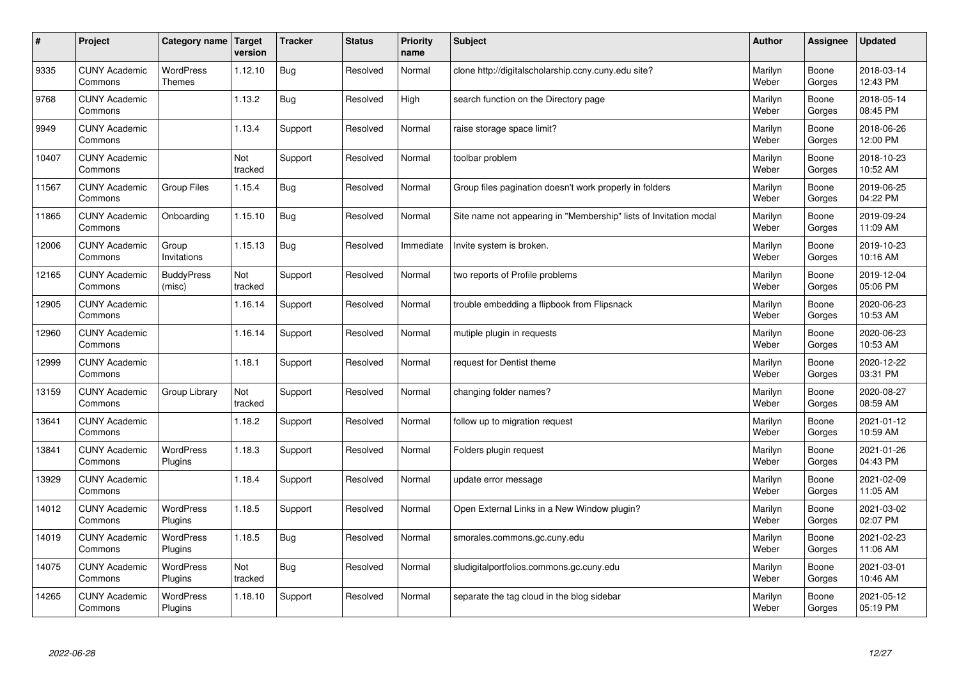| $\sharp$ | Project                         | Category name   Target      | version        | <b>Tracker</b> | <b>Status</b> | <b>Priority</b><br>name | <b>Subject</b>                                                    | <b>Author</b>    | Assignee        | <b>Updated</b>         |
|----------|---------------------------------|-----------------------------|----------------|----------------|---------------|-------------------------|-------------------------------------------------------------------|------------------|-----------------|------------------------|
| 9335     | <b>CUNY Academic</b><br>Commons | <b>WordPress</b><br>Themes  | 1.12.10        | <b>Bug</b>     | Resolved      | Normal                  | clone http://digitalscholarship.ccny.cuny.edu site?               | Marilyn<br>Weber | Boone<br>Gorges | 2018-03-14<br>12:43 PM |
| 9768     | <b>CUNY Academic</b><br>Commons |                             | 1.13.2         | Bug            | Resolved      | High                    | search function on the Directory page                             | Marilyn<br>Weber | Boone<br>Gorges | 2018-05-14<br>08:45 PM |
| 9949     | <b>CUNY Academic</b><br>Commons |                             | 1.13.4         | Support        | Resolved      | Normal                  | raise storage space limit?                                        | Marilyn<br>Weber | Boone<br>Gorges | 2018-06-26<br>12:00 PM |
| 10407    | <b>CUNY Academic</b><br>Commons |                             | Not<br>tracked | Support        | Resolved      | Normal                  | toolbar problem                                                   | Marilyn<br>Weber | Boone<br>Gorges | 2018-10-23<br>10:52 AM |
| 11567    | <b>CUNY Academic</b><br>Commons | <b>Group Files</b>          | 1.15.4         | Bug            | Resolved      | Normal                  | Group files pagination doesn't work properly in folders           | Marilyn<br>Weber | Boone<br>Gorges | 2019-06-25<br>04:22 PM |
| 11865    | <b>CUNY Academic</b><br>Commons | Onboarding                  | 1.15.10        | Bug            | Resolved      | Normal                  | Site name not appearing in "Membership" lists of Invitation modal | Marilyn<br>Weber | Boone<br>Gorges | 2019-09-24<br>11:09 AM |
| 12006    | <b>CUNY Academic</b><br>Commons | Group<br>Invitations        | 1.15.13        | Bug            | Resolved      | Immediate               | Invite system is broken.                                          | Marilyn<br>Weber | Boone<br>Gorges | 2019-10-23<br>10:16 AM |
| 12165    | <b>CUNY Academic</b><br>Commons | <b>BuddyPress</b><br>(misc) | Not<br>tracked | Support        | Resolved      | Normal                  | two reports of Profile problems                                   | Marilyn<br>Weber | Boone<br>Gorges | 2019-12-04<br>05:06 PM |
| 12905    | <b>CUNY Academic</b><br>Commons |                             | 1.16.14        | Support        | Resolved      | Normal                  | trouble embedding a flipbook from Flipsnack                       | Marilyn<br>Weber | Boone<br>Gorges | 2020-06-23<br>10:53 AM |
| 12960    | <b>CUNY Academic</b><br>Commons |                             | 1.16.14        | Support        | Resolved      | Normal                  | mutiple plugin in requests                                        | Marilyn<br>Weber | Boone<br>Gorges | 2020-06-23<br>10:53 AM |
| 12999    | <b>CUNY Academic</b><br>Commons |                             | 1.18.1         | Support        | Resolved      | Normal                  | request for Dentist theme                                         | Marilyn<br>Weber | Boone<br>Gorges | 2020-12-22<br>03:31 PM |
| 13159    | <b>CUNY Academic</b><br>Commons | Group Library               | Not<br>tracked | Support        | Resolved      | Normal                  | changing folder names?                                            | Marilyn<br>Weber | Boone<br>Gorges | 2020-08-27<br>08:59 AM |
| 13641    | <b>CUNY Academic</b><br>Commons |                             | 1.18.2         | Support        | Resolved      | Normal                  | follow up to migration request                                    | Marilyn<br>Weber | Boone<br>Gorges | 2021-01-12<br>10:59 AM |
| 13841    | <b>CUNY Academic</b><br>Commons | WordPress<br>Plugins        | 1.18.3         | Support        | Resolved      | Normal                  | Folders plugin request                                            | Marilyn<br>Weber | Boone<br>Gorges | 2021-01-26<br>04:43 PM |
| 13929    | <b>CUNY Academic</b><br>Commons |                             | 1.18.4         | Support        | Resolved      | Normal                  | update error message                                              | Marilyn<br>Weber | Boone<br>Gorges | 2021-02-09<br>11:05 AM |
| 14012    | <b>CUNY Academic</b><br>Commons | <b>WordPress</b><br>Plugins | 1.18.5         | Support        | Resolved      | Normal                  | Open External Links in a New Window plugin?                       | Marilyn<br>Weber | Boone<br>Gorges | 2021-03-02<br>02:07 PM |
| 14019    | <b>CUNY Academic</b><br>Commons | WordPress<br>Plugins        | 1.18.5         | Bug            | Resolved      | Normal                  | smorales.commons.gc.cuny.edu                                      | Marilyn<br>Weber | Boone<br>Gorges | 2021-02-23<br>11:06 AM |
| 14075    | <b>CUNY Academic</b><br>Commons | WordPress<br>Plugins        | Not<br>tracked | Bug            | Resolved      | Normal                  | sludigitalportfolios.commons.gc.cuny.edu                          | Marilyn<br>Weber | Boone<br>Gorges | 2021-03-01<br>10:46 AM |
| 14265    | <b>CUNY Academic</b><br>Commons | WordPress<br>Plugins        | 1.18.10        | Support        | Resolved      | Normal                  | separate the tag cloud in the blog sidebar                        | Marilyn<br>Weber | Boone<br>Gorges | 2021-05-12<br>05:19 PM |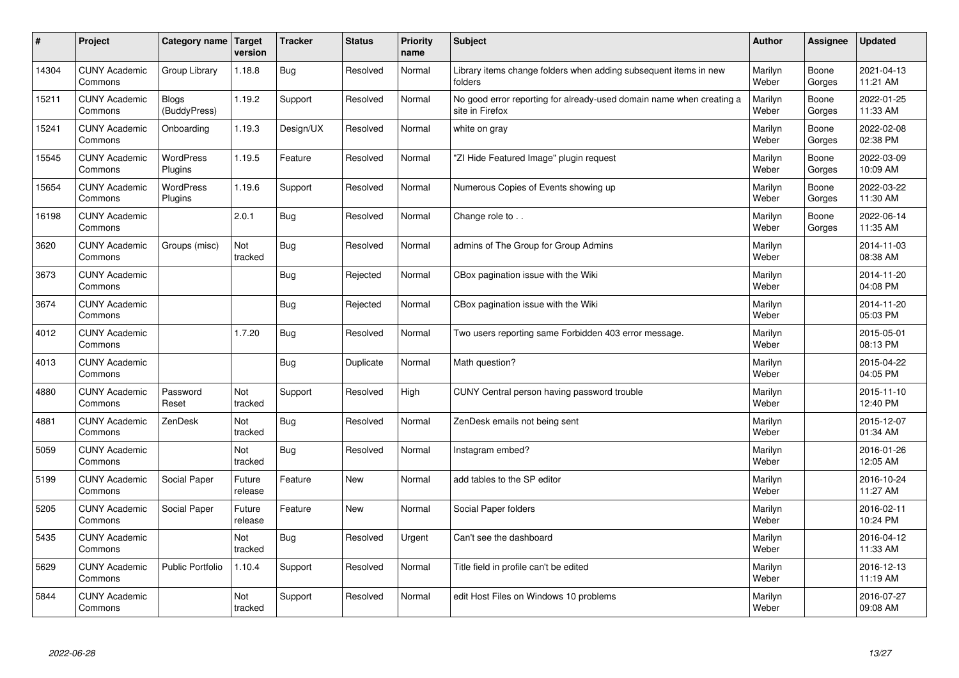| $\sharp$ | Project                         | Category name   Target       | version           | <b>Tracker</b> | <b>Status</b> | <b>Priority</b><br>name | <b>Subject</b>                                                                          | <b>Author</b>    | <b>Assignee</b> | <b>Updated</b>         |
|----------|---------------------------------|------------------------------|-------------------|----------------|---------------|-------------------------|-----------------------------------------------------------------------------------------|------------------|-----------------|------------------------|
| 14304    | <b>CUNY Academic</b><br>Commons | Group Library                | 1.18.8            | Bug            | Resolved      | Normal                  | Library items change folders when adding subsequent items in new<br>folders             | Marilyn<br>Weber | Boone<br>Gorges | 2021-04-13<br>11:21 AM |
| 15211    | <b>CUNY Academic</b><br>Commons | <b>Blogs</b><br>(BuddyPress) | 1.19.2            | Support        | Resolved      | Normal                  | No good error reporting for already-used domain name when creating a<br>site in Firefox | Marilyn<br>Weber | Boone<br>Gorges | 2022-01-25<br>11:33 AM |
| 15241    | <b>CUNY Academic</b><br>Commons | Onboarding                   | 1.19.3            | Design/UX      | Resolved      | Normal                  | white on gray                                                                           | Marilyn<br>Weber | Boone<br>Gorges | 2022-02-08<br>02:38 PM |
| 15545    | <b>CUNY Academic</b><br>Commons | WordPress<br>Plugins         | 1.19.5            | Feature        | Resolved      | Normal                  | 'ZI Hide Featured Image" plugin request                                                 | Marilyn<br>Weber | Boone<br>Gorges | 2022-03-09<br>10:09 AM |
| 15654    | <b>CUNY Academic</b><br>Commons | <b>WordPress</b><br>Plugins  | 1.19.6            | Support        | Resolved      | Normal                  | Numerous Copies of Events showing up                                                    | Marilyn<br>Weber | Boone<br>Gorges | 2022-03-22<br>11:30 AM |
| 16198    | <b>CUNY Academic</b><br>Commons |                              | 2.0.1             | Bug            | Resolved      | Normal                  | Change role to                                                                          | Marilyn<br>Weber | Boone<br>Gorges | 2022-06-14<br>11:35 AM |
| 3620     | <b>CUNY Academic</b><br>Commons | Groups (misc)                | Not<br>tracked    | Bug            | Resolved      | Normal                  | admins of The Group for Group Admins                                                    | Marilyn<br>Weber |                 | 2014-11-03<br>08:38 AM |
| 3673     | <b>CUNY Academic</b><br>Commons |                              |                   | Bug            | Rejected      | Normal                  | CBox pagination issue with the Wiki                                                     | Marilyn<br>Weber |                 | 2014-11-20<br>04:08 PM |
| 3674     | <b>CUNY Academic</b><br>Commons |                              |                   | <b>Bug</b>     | Rejected      | Normal                  | CBox pagination issue with the Wiki                                                     | Marilyn<br>Weber |                 | 2014-11-20<br>05:03 PM |
| 4012     | <b>CUNY Academic</b><br>Commons |                              | 1.7.20            | Bug            | Resolved      | Normal                  | Two users reporting same Forbidden 403 error message.                                   | Marilyn<br>Weber |                 | 2015-05-01<br>08:13 PM |
| 4013     | <b>CUNY Academic</b><br>Commons |                              |                   | Bug            | Duplicate     | Normal                  | Math question?                                                                          | Marilyn<br>Weber |                 | 2015-04-22<br>04:05 PM |
| 4880     | <b>CUNY Academic</b><br>Commons | Password<br>Reset            | Not<br>tracked    | Support        | Resolved      | High                    | CUNY Central person having password trouble                                             | Marilyn<br>Weber |                 | 2015-11-10<br>12:40 PM |
| 4881     | <b>CUNY Academic</b><br>Commons | ZenDesk                      | Not<br>tracked    | Bug            | Resolved      | Normal                  | ZenDesk emails not being sent                                                           | Marilyn<br>Weber |                 | 2015-12-07<br>01:34 AM |
| 5059     | <b>CUNY Academic</b><br>Commons |                              | Not<br>tracked    | Bug            | Resolved      | Normal                  | Instagram embed?                                                                        | Marilyn<br>Weber |                 | 2016-01-26<br>12:05 AM |
| 5199     | <b>CUNY Academic</b><br>Commons | Social Paper                 | Future<br>release | Feature        | <b>New</b>    | Normal                  | add tables to the SP editor                                                             | Marilyn<br>Weber |                 | 2016-10-24<br>11:27 AM |
| 5205     | <b>CUNY Academic</b><br>Commons | Social Paper                 | Future<br>release | Feature        | <b>New</b>    | Normal                  | Social Paper folders                                                                    | Marilyn<br>Weber |                 | 2016-02-11<br>10:24 PM |
| 5435     | <b>CUNY Academic</b><br>Commons |                              | Not<br>tracked    | Bug            | Resolved      | Urgent                  | Can't see the dashboard                                                                 | Marilyn<br>Weber |                 | 2016-04-12<br>11:33 AM |
| 5629     | <b>CUNY Academic</b><br>Commons | Public Portfolio             | 1.10.4            | Support        | Resolved      | Normal                  | Title field in profile can't be edited                                                  | Marilyn<br>Weber |                 | 2016-12-13<br>11:19 AM |
| 5844     | <b>CUNY Academic</b><br>Commons |                              | Not<br>tracked    | Support        | Resolved      | Normal                  | edit Host Files on Windows 10 problems                                                  | Marilyn<br>Weber |                 | 2016-07-27<br>09:08 AM |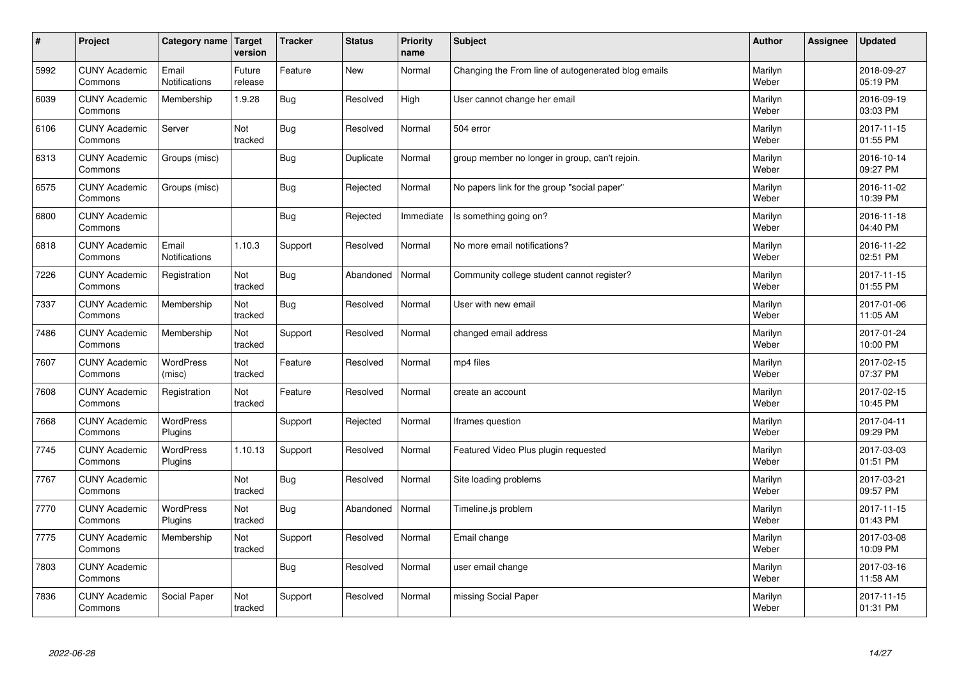| $\sharp$ | Project                         | Category name   Target        | version           | <b>Tracker</b> | <b>Status</b> | <b>Priority</b><br>name | <b>Subject</b>                                      | <b>Author</b>    | Assignee | <b>Updated</b>         |
|----------|---------------------------------|-------------------------------|-------------------|----------------|---------------|-------------------------|-----------------------------------------------------|------------------|----------|------------------------|
| 5992     | <b>CUNY Academic</b><br>Commons | Email<br>Notifications        | Future<br>release | Feature        | <b>New</b>    | Normal                  | Changing the From line of autogenerated blog emails | Marilyn<br>Weber |          | 2018-09-27<br>05:19 PM |
| 6039     | <b>CUNY Academic</b><br>Commons | Membership                    | 1.9.28            | Bug            | Resolved      | High                    | User cannot change her email                        | Marilyn<br>Weber |          | 2016-09-19<br>03:03 PM |
| 6106     | <b>CUNY Academic</b><br>Commons | Server                        | Not<br>tracked    | <b>Bug</b>     | Resolved      | Normal                  | 504 error                                           | Marilyn<br>Weber |          | 2017-11-15<br>01:55 PM |
| 6313     | <b>CUNY Academic</b><br>Commons | Groups (misc)                 |                   | <b>Bug</b>     | Duplicate     | Normal                  | group member no longer in group, can't rejoin.      | Marilyn<br>Weber |          | 2016-10-14<br>09:27 PM |
| 6575     | <b>CUNY Academic</b><br>Commons | Groups (misc)                 |                   | <b>Bug</b>     | Rejected      | Normal                  | No papers link for the group "social paper"         | Marilyn<br>Weber |          | 2016-11-02<br>10:39 PM |
| 6800     | <b>CUNY Academic</b><br>Commons |                               |                   | <b>Bug</b>     | Rejected      | Immediate               | Is something going on?                              | Marilyn<br>Weber |          | 2016-11-18<br>04:40 PM |
| 6818     | <b>CUNY Academic</b><br>Commons | Email<br><b>Notifications</b> | 1.10.3            | Support        | Resolved      | Normal                  | No more email notifications?                        | Marilyn<br>Weber |          | 2016-11-22<br>02:51 PM |
| 7226     | <b>CUNY Academic</b><br>Commons | Registration                  | Not<br>tracked    | <b>Bug</b>     | Abandoned     | Normal                  | Community college student cannot register?          | Marilyn<br>Weber |          | 2017-11-15<br>01:55 PM |
| 7337     | <b>CUNY Academic</b><br>Commons | Membership                    | Not<br>tracked    | <b>Bug</b>     | Resolved      | Normal                  | User with new email                                 | Marilyn<br>Weber |          | 2017-01-06<br>11:05 AM |
| 7486     | <b>CUNY Academic</b><br>Commons | Membership                    | Not<br>tracked    | Support        | Resolved      | Normal                  | changed email address                               | Marilyn<br>Weber |          | 2017-01-24<br>10:00 PM |
| 7607     | <b>CUNY Academic</b><br>Commons | <b>WordPress</b><br>(misc)    | Not<br>tracked    | Feature        | Resolved      | Normal                  | mp4 files                                           | Marilyn<br>Weber |          | 2017-02-15<br>07:37 PM |
| 7608     | <b>CUNY Academic</b><br>Commons | Registration                  | Not<br>tracked    | Feature        | Resolved      | Normal                  | create an account                                   | Marilyn<br>Weber |          | 2017-02-15<br>10:45 PM |
| 7668     | <b>CUNY Academic</b><br>Commons | <b>WordPress</b><br>Plugins   |                   | Support        | Rejected      | Normal                  | Iframes question                                    | Marilyn<br>Weber |          | 2017-04-11<br>09:29 PM |
| 7745     | <b>CUNY Academic</b><br>Commons | <b>WordPress</b><br>Plugins   | 1.10.13           | Support        | Resolved      | Normal                  | Featured Video Plus plugin requested                | Marilyn<br>Weber |          | 2017-03-03<br>01:51 PM |
| 7767     | <b>CUNY Academic</b><br>Commons |                               | Not<br>tracked    | Bug            | Resolved      | Normal                  | Site loading problems                               | Marilyn<br>Weber |          | 2017-03-21<br>09:57 PM |
| 7770     | <b>CUNY Academic</b><br>Commons | <b>WordPress</b><br>Plugins   | Not<br>tracked    | Bug            | Abandoned     | Normal                  | Timeline.js problem                                 | Marilyn<br>Weber |          | 2017-11-15<br>01:43 PM |
| 7775     | <b>CUNY Academic</b><br>Commons | Membership                    | Not<br>tracked    | Support        | Resolved      | Normal                  | Email change                                        | Marilyn<br>Weber |          | 2017-03-08<br>10:09 PM |
| 7803     | <b>CUNY Academic</b><br>Commons |                               |                   | <b>Bug</b>     | Resolved      | Normal                  | user email change                                   | Marilyn<br>Weber |          | 2017-03-16<br>11:58 AM |
| 7836     | <b>CUNY Academic</b><br>Commons | Social Paper                  | Not<br>tracked    | Support        | Resolved      | Normal                  | missing Social Paper                                | Marilyn<br>Weber |          | 2017-11-15<br>01:31 PM |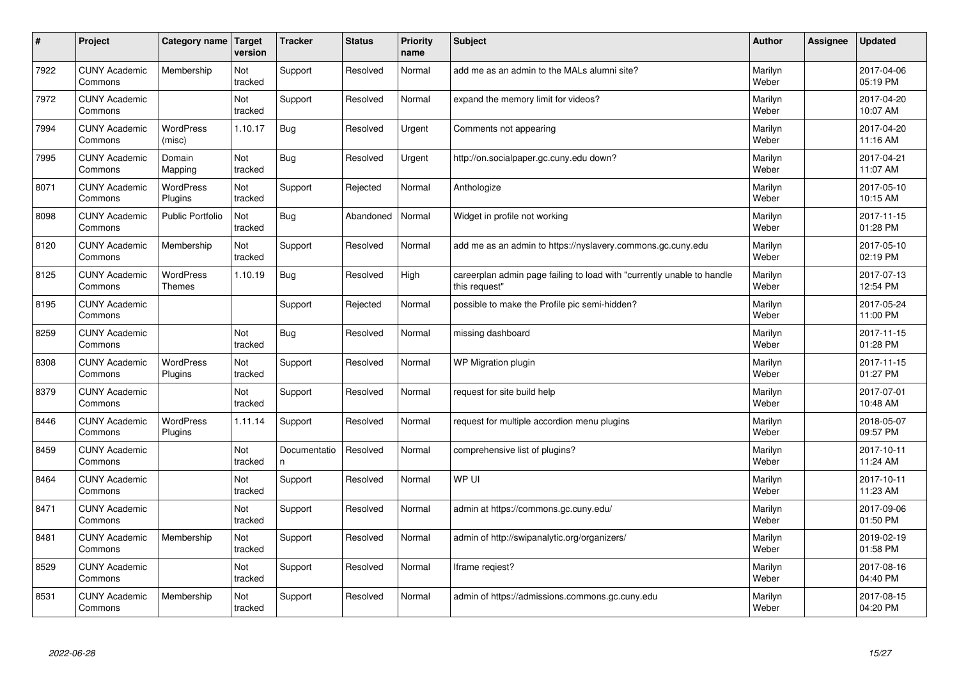| $\vert$ # | Project                         | Category name                     | Target<br>version | <b>Tracker</b>     | <b>Status</b> | <b>Priority</b><br>name | <b>Subject</b>                                                                          | <b>Author</b>    | Assignee | <b>Updated</b>         |
|-----------|---------------------------------|-----------------------------------|-------------------|--------------------|---------------|-------------------------|-----------------------------------------------------------------------------------------|------------------|----------|------------------------|
| 7922      | <b>CUNY Academic</b><br>Commons | Membership                        | Not<br>tracked    | Support            | Resolved      | Normal                  | add me as an admin to the MALs alumni site?                                             | Marilyn<br>Weber |          | 2017-04-06<br>05:19 PM |
| 7972      | <b>CUNY Academic</b><br>Commons |                                   | Not<br>tracked    | Support            | Resolved      | Normal                  | expand the memory limit for videos?                                                     | Marilyn<br>Weber |          | 2017-04-20<br>10:07 AM |
| 7994      | <b>CUNY Academic</b><br>Commons | <b>WordPress</b><br>(misc)        | 1.10.17           | <b>Bug</b>         | Resolved      | Urgent                  | Comments not appearing                                                                  | Marilyn<br>Weber |          | 2017-04-20<br>11:16 AM |
| 7995      | <b>CUNY Academic</b><br>Commons | Domain<br>Mapping                 | Not<br>tracked    | <b>Bug</b>         | Resolved      | Urgent                  | http://on.socialpaper.gc.cuny.edu down?                                                 | Marilyn<br>Weber |          | 2017-04-21<br>11:07 AM |
| 8071      | <b>CUNY Academic</b><br>Commons | <b>WordPress</b><br>Plugins       | Not<br>tracked    | Support            | Rejected      | Normal                  | Anthologize                                                                             | Marilyn<br>Weber |          | 2017-05-10<br>10:15 AM |
| 8098      | <b>CUNY Academic</b><br>Commons | <b>Public Portfolio</b>           | Not<br>tracked    | Bug                | Abandoned     | Normal                  | Widget in profile not working                                                           | Marilyn<br>Weber |          | 2017-11-15<br>01:28 PM |
| 8120      | <b>CUNY Academic</b><br>Commons | Membership                        | Not<br>tracked    | Support            | Resolved      | Normal                  | add me as an admin to https://nyslavery.commons.gc.cuny.edu                             | Marilyn<br>Weber |          | 2017-05-10<br>02:19 PM |
| 8125      | <b>CUNY Academic</b><br>Commons | <b>WordPress</b><br><b>Themes</b> | 1.10.19           | Bug                | Resolved      | High                    | careerplan admin page failing to load with "currently unable to handle<br>this request" | Marilyn<br>Weber |          | 2017-07-13<br>12:54 PM |
| 8195      | <b>CUNY Academic</b><br>Commons |                                   |                   | Support            | Rejected      | Normal                  | possible to make the Profile pic semi-hidden?                                           | Marilyn<br>Weber |          | 2017-05-24<br>11:00 PM |
| 8259      | <b>CUNY Academic</b><br>Commons |                                   | Not<br>tracked    | <b>Bug</b>         | Resolved      | Normal                  | missing dashboard                                                                       | Marilyn<br>Weber |          | 2017-11-15<br>01:28 PM |
| 8308      | <b>CUNY Academic</b><br>Commons | <b>WordPress</b><br>Plugins       | Not<br>tracked    | Support            | Resolved      | Normal                  | WP Migration plugin                                                                     | Marilyn<br>Weber |          | 2017-11-15<br>01:27 PM |
| 8379      | <b>CUNY Academic</b><br>Commons |                                   | Not<br>tracked    | Support            | Resolved      | Normal                  | request for site build help                                                             | Marilyn<br>Weber |          | 2017-07-01<br>10:48 AM |
| 8446      | <b>CUNY Academic</b><br>Commons | <b>WordPress</b><br>Plugins       | 1.11.14           | Support            | Resolved      | Normal                  | request for multiple accordion menu plugins                                             | Marilyn<br>Weber |          | 2018-05-07<br>09:57 PM |
| 8459      | <b>CUNY Academic</b><br>Commons |                                   | Not<br>tracked    | Documentatio<br>n. | Resolved      | Normal                  | comprehensive list of plugins?                                                          | Marilyn<br>Weber |          | 2017-10-11<br>11:24 AM |
| 8464      | <b>CUNY Academic</b><br>Commons |                                   | Not<br>tracked    | Support            | Resolved      | Normal                  | WP UI                                                                                   | Marilyn<br>Weber |          | 2017-10-11<br>11:23 AM |
| 8471      | <b>CUNY Academic</b><br>Commons |                                   | Not<br>tracked    | Support            | Resolved      | Normal                  | admin at https://commons.gc.cuny.edu/                                                   | Marilyn<br>Weber |          | 2017-09-06<br>01:50 PM |
| 8481      | <b>CUNY Academic</b><br>Commons | Membership                        | Not<br>tracked    | Support            | Resolved      | Normal                  | admin of http://swipanalytic.org/organizers/                                            | Marilyn<br>Weber |          | 2019-02-19<br>01:58 PM |
| 8529      | <b>CUNY Academic</b><br>Commons |                                   | Not<br>tracked    | Support            | Resolved      | Normal                  | Iframe regiest?                                                                         | Marilyn<br>Weber |          | 2017-08-16<br>04:40 PM |
| 8531      | <b>CUNY Academic</b><br>Commons | Membership                        | Not<br>tracked    | Support            | Resolved      | Normal                  | admin of https://admissions.commons.gc.cuny.edu                                         | Marilyn<br>Weber |          | 2017-08-15<br>04:20 PM |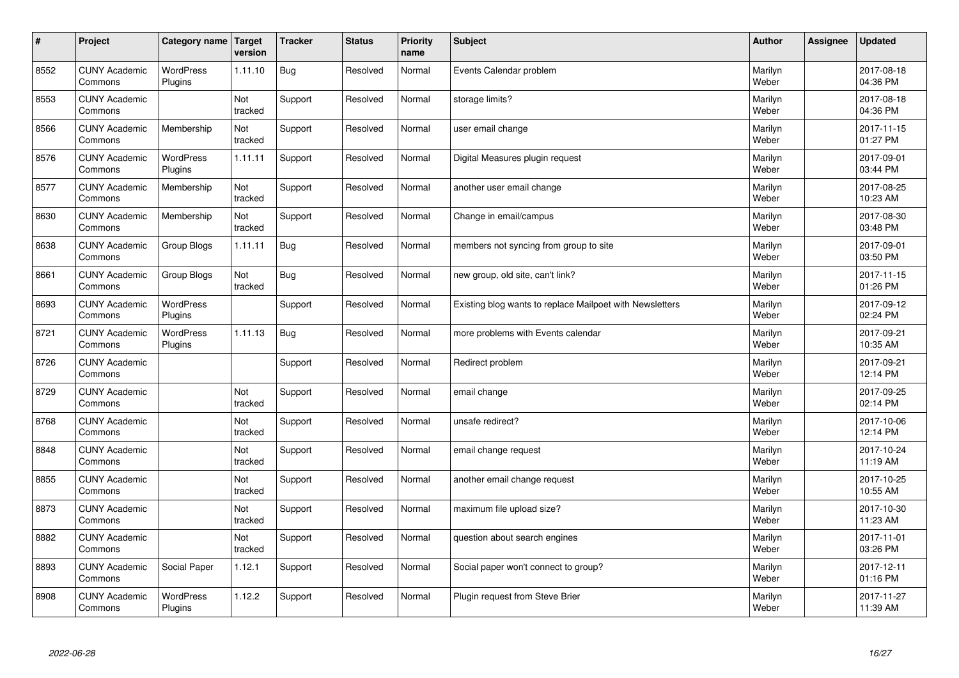| $\sharp$ | Project                         | Category name   Target      | version        | <b>Tracker</b> | <b>Status</b> | <b>Priority</b><br>name | <b>Subject</b>                                           | <b>Author</b>    | Assignee | <b>Updated</b>         |
|----------|---------------------------------|-----------------------------|----------------|----------------|---------------|-------------------------|----------------------------------------------------------|------------------|----------|------------------------|
| 8552     | <b>CUNY Academic</b><br>Commons | <b>WordPress</b><br>Plugins | 1.11.10        | <b>Bug</b>     | Resolved      | Normal                  | Events Calendar problem                                  | Marilyn<br>Weber |          | 2017-08-18<br>04:36 PM |
| 8553     | <b>CUNY Academic</b><br>Commons |                             | Not<br>tracked | Support        | Resolved      | Normal                  | storage limits?                                          | Marilyn<br>Weber |          | 2017-08-18<br>04:36 PM |
| 8566     | <b>CUNY Academic</b><br>Commons | Membership                  | Not<br>tracked | Support        | Resolved      | Normal                  | user email change                                        | Marilyn<br>Weber |          | 2017-11-15<br>01:27 PM |
| 8576     | <b>CUNY Academic</b><br>Commons | <b>WordPress</b><br>Plugins | 1.11.11        | Support        | Resolved      | Normal                  | Digital Measures plugin request                          | Marilyn<br>Weber |          | 2017-09-01<br>03:44 PM |
| 8577     | <b>CUNY Academic</b><br>Commons | Membership                  | Not<br>tracked | Support        | Resolved      | Normal                  | another user email change                                | Marilyn<br>Weber |          | 2017-08-25<br>10:23 AM |
| 8630     | <b>CUNY Academic</b><br>Commons | Membership                  | Not<br>tracked | Support        | Resolved      | Normal                  | Change in email/campus                                   | Marilyn<br>Weber |          | 2017-08-30<br>03:48 PM |
| 8638     | <b>CUNY Academic</b><br>Commons | Group Blogs                 | 1.11.11        | <b>Bug</b>     | Resolved      | Normal                  | members not syncing from group to site                   | Marilyn<br>Weber |          | 2017-09-01<br>03:50 PM |
| 8661     | <b>CUNY Academic</b><br>Commons | Group Blogs                 | Not<br>tracked | <b>Bug</b>     | Resolved      | Normal                  | new group, old site, can't link?                         | Marilyn<br>Weber |          | 2017-11-15<br>01:26 PM |
| 8693     | <b>CUNY Academic</b><br>Commons | <b>WordPress</b><br>Plugins |                | Support        | Resolved      | Normal                  | Existing blog wants to replace Mailpoet with Newsletters | Marilyn<br>Weber |          | 2017-09-12<br>02:24 PM |
| 8721     | <b>CUNY Academic</b><br>Commons | WordPress<br>Plugins        | 1.11.13        | <b>Bug</b>     | Resolved      | Normal                  | more problems with Events calendar                       | Marilyn<br>Weber |          | 2017-09-21<br>10:35 AM |
| 8726     | <b>CUNY Academic</b><br>Commons |                             |                | Support        | Resolved      | Normal                  | Redirect problem                                         | Marilyn<br>Weber |          | 2017-09-21<br>12:14 PM |
| 8729     | <b>CUNY Academic</b><br>Commons |                             | Not<br>tracked | Support        | Resolved      | Normal                  | email change                                             | Marilyn<br>Weber |          | 2017-09-25<br>02:14 PM |
| 8768     | <b>CUNY Academic</b><br>Commons |                             | Not<br>tracked | Support        | Resolved      | Normal                  | unsafe redirect?                                         | Marilyn<br>Weber |          | 2017-10-06<br>12:14 PM |
| 8848     | <b>CUNY Academic</b><br>Commons |                             | Not<br>tracked | Support        | Resolved      | Normal                  | email change request                                     | Marilyn<br>Weber |          | 2017-10-24<br>11:19 AM |
| 8855     | <b>CUNY Academic</b><br>Commons |                             | Not<br>tracked | Support        | Resolved      | Normal                  | another email change request                             | Marilyn<br>Weber |          | 2017-10-25<br>10:55 AM |
| 8873     | <b>CUNY Academic</b><br>Commons |                             | Not<br>tracked | Support        | Resolved      | Normal                  | maximum file upload size?                                | Marilyn<br>Weber |          | 2017-10-30<br>11:23 AM |
| 8882     | <b>CUNY Academic</b><br>Commons |                             | Not<br>tracked | Support        | Resolved      | Normal                  | question about search engines                            | Marilyn<br>Weber |          | 2017-11-01<br>03:26 PM |
| 8893     | <b>CUNY Academic</b><br>Commons | Social Paper                | 1.12.1         | Support        | Resolved      | Normal                  | Social paper won't connect to group?                     | Marilyn<br>Weber |          | 2017-12-11<br>01:16 PM |
| 8908     | <b>CUNY Academic</b><br>Commons | <b>WordPress</b><br>Plugins | 1.12.2         | Support        | Resolved      | Normal                  | Plugin request from Steve Brier                          | Marilyn<br>Weber |          | 2017-11-27<br>11:39 AM |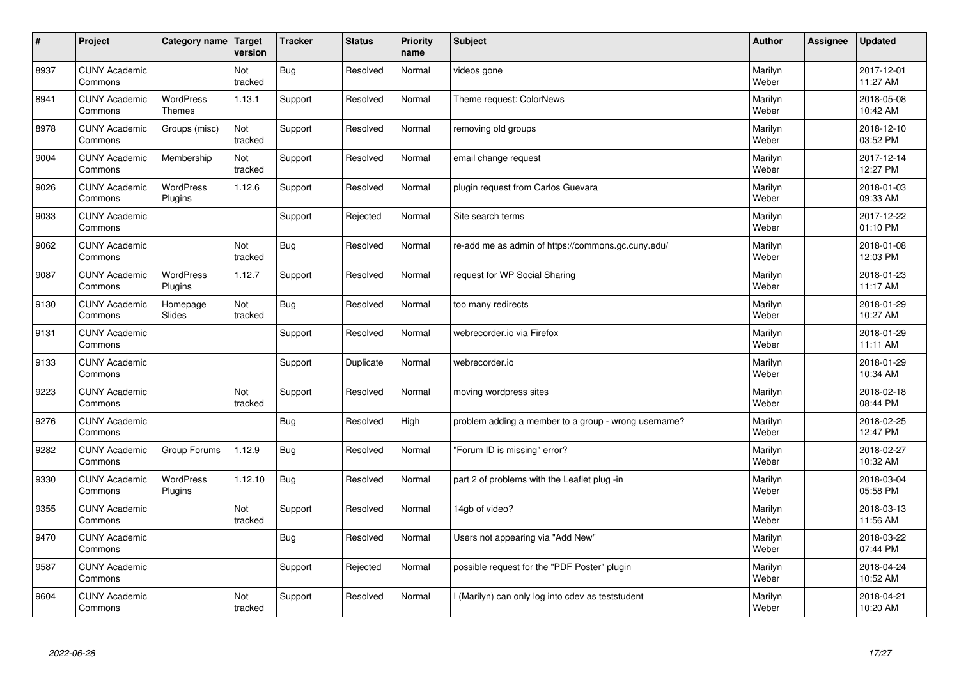| $\vert$ # | Project                         | Category name Target              | version        | <b>Tracker</b> | <b>Status</b> | <b>Priority</b><br>name | <b>Subject</b>                                       | <b>Author</b>    | Assignee | <b>Updated</b>         |
|-----------|---------------------------------|-----------------------------------|----------------|----------------|---------------|-------------------------|------------------------------------------------------|------------------|----------|------------------------|
| 8937      | <b>CUNY Academic</b><br>Commons |                                   | Not<br>tracked | <b>Bug</b>     | Resolved      | Normal                  | videos gone                                          | Marilyn<br>Weber |          | 2017-12-01<br>11:27 AM |
| 8941      | <b>CUNY Academic</b><br>Commons | <b>WordPress</b><br><b>Themes</b> | 1.13.1         | Support        | Resolved      | Normal                  | Theme request: ColorNews                             | Marilyn<br>Weber |          | 2018-05-08<br>10:42 AM |
| 8978      | <b>CUNY Academic</b><br>Commons | Groups (misc)                     | Not<br>tracked | Support        | Resolved      | Normal                  | removing old groups                                  | Marilyn<br>Weber |          | 2018-12-10<br>03:52 PM |
| 9004      | <b>CUNY Academic</b><br>Commons | Membership                        | Not<br>tracked | Support        | Resolved      | Normal                  | email change request                                 | Marilyn<br>Weber |          | 2017-12-14<br>12:27 PM |
| 9026      | <b>CUNY Academic</b><br>Commons | <b>WordPress</b><br>Plugins       | 1.12.6         | Support        | Resolved      | Normal                  | plugin request from Carlos Guevara                   | Marilyn<br>Weber |          | 2018-01-03<br>09:33 AM |
| 9033      | <b>CUNY Academic</b><br>Commons |                                   |                | Support        | Rejected      | Normal                  | Site search terms                                    | Marilyn<br>Weber |          | 2017-12-22<br>01:10 PM |
| 9062      | <b>CUNY Academic</b><br>Commons |                                   | Not<br>tracked | Bug            | Resolved      | Normal                  | re-add me as admin of https://commons.gc.cuny.edu/   | Marilyn<br>Weber |          | 2018-01-08<br>12:03 PM |
| 9087      | <b>CUNY Academic</b><br>Commons | WordPress<br>Plugins              | 1.12.7         | Support        | Resolved      | Normal                  | request for WP Social Sharing                        | Marilyn<br>Weber |          | 2018-01-23<br>11:17 AM |
| 9130      | <b>CUNY Academic</b><br>Commons | Homepage<br>Slides                | Not<br>tracked | Bug            | Resolved      | Normal                  | too many redirects                                   | Marilyn<br>Weber |          | 2018-01-29<br>10:27 AM |
| 9131      | <b>CUNY Academic</b><br>Commons |                                   |                | Support        | Resolved      | Normal                  | webrecorder.io via Firefox                           | Marilyn<br>Weber |          | 2018-01-29<br>11:11 AM |
| 9133      | <b>CUNY Academic</b><br>Commons |                                   |                | Support        | Duplicate     | Normal                  | webrecorder.io                                       | Marilyn<br>Weber |          | 2018-01-29<br>10:34 AM |
| 9223      | <b>CUNY Academic</b><br>Commons |                                   | Not<br>tracked | Support        | Resolved      | Normal                  | moving wordpress sites                               | Marilyn<br>Weber |          | 2018-02-18<br>08:44 PM |
| 9276      | <b>CUNY Academic</b><br>Commons |                                   |                | Bug            | Resolved      | High                    | problem adding a member to a group - wrong username? | Marilyn<br>Weber |          | 2018-02-25<br>12:47 PM |
| 9282      | <b>CUNY Academic</b><br>Commons | Group Forums                      | 1.12.9         | Bug            | Resolved      | Normal                  | "Forum ID is missing" error?                         | Marilyn<br>Weber |          | 2018-02-27<br>10:32 AM |
| 9330      | <b>CUNY Academic</b><br>Commons | <b>WordPress</b><br>Plugins       | 1.12.10        | Bug            | Resolved      | Normal                  | part 2 of problems with the Leaflet plug -in         | Marilyn<br>Weber |          | 2018-03-04<br>05:58 PM |
| 9355      | <b>CUNY Academic</b><br>Commons |                                   | Not<br>tracked | Support        | Resolved      | Normal                  | 14gb of video?                                       | Marilyn<br>Weber |          | 2018-03-13<br>11:56 AM |
| 9470      | <b>CUNY Academic</b><br>Commons |                                   |                | Bug            | Resolved      | Normal                  | Users not appearing via "Add New"                    | Marilyn<br>Weber |          | 2018-03-22<br>07:44 PM |
| 9587      | <b>CUNY Academic</b><br>Commons |                                   |                | Support        | Rejected      | Normal                  | possible request for the "PDF Poster" plugin         | Marilyn<br>Weber |          | 2018-04-24<br>10:52 AM |
| 9604      | <b>CUNY Academic</b><br>Commons |                                   | Not<br>tracked | Support        | Resolved      | Normal                  | (Marilyn) can only log into cdev as teststudent      | Marilyn<br>Weber |          | 2018-04-21<br>10:20 AM |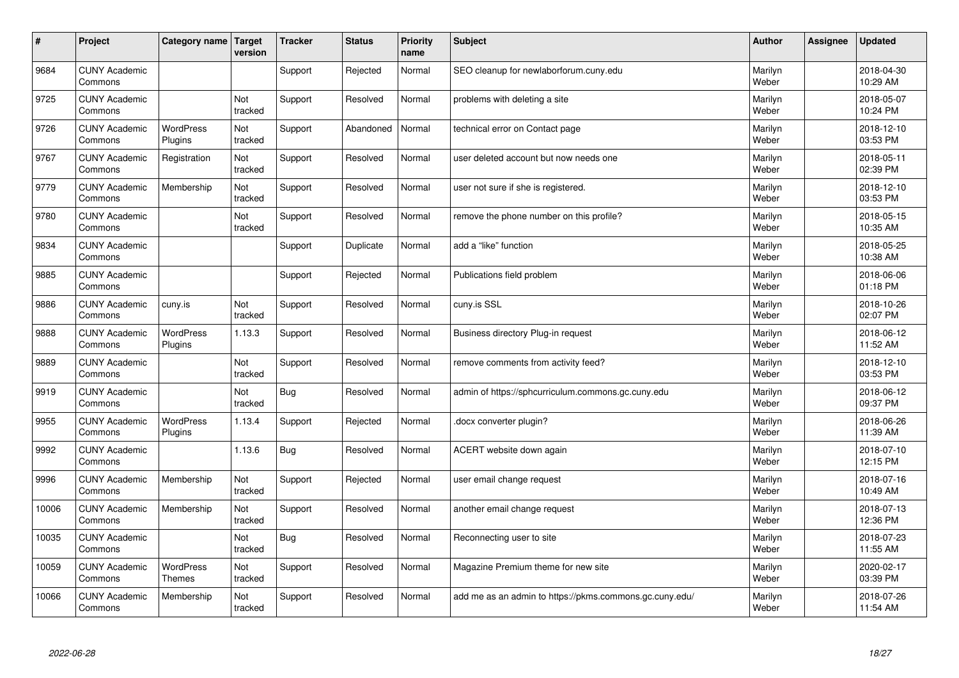| $\sharp$ | Project                         | Category name                     | Target<br>version | <b>Tracker</b> | <b>Status</b> | <b>Priority</b><br>name | <b>Subject</b>                                          | <b>Author</b>    | <b>Assignee</b> | <b>Updated</b>         |
|----------|---------------------------------|-----------------------------------|-------------------|----------------|---------------|-------------------------|---------------------------------------------------------|------------------|-----------------|------------------------|
| 9684     | <b>CUNY Academic</b><br>Commons |                                   |                   | Support        | Rejected      | Normal                  | SEO cleanup for newlaborforum.cuny.edu                  | Marilyn<br>Weber |                 | 2018-04-30<br>10:29 AM |
| 9725     | <b>CUNY Academic</b><br>Commons |                                   | Not<br>tracked    | Support        | Resolved      | Normal                  | problems with deleting a site                           | Marilyn<br>Weber |                 | 2018-05-07<br>10:24 PM |
| 9726     | <b>CUNY Academic</b><br>Commons | <b>WordPress</b><br>Plugins       | Not<br>tracked    | Support        | Abandoned     | Normal                  | technical error on Contact page                         | Marilyn<br>Weber |                 | 2018-12-10<br>03:53 PM |
| 9767     | <b>CUNY Academic</b><br>Commons | Registration                      | Not<br>tracked    | Support        | Resolved      | Normal                  | user deleted account but now needs one                  | Marilyn<br>Weber |                 | 2018-05-11<br>02:39 PM |
| 9779     | <b>CUNY Academic</b><br>Commons | Membership                        | Not<br>tracked    | Support        | Resolved      | Normal                  | user not sure if she is registered.                     | Marilyn<br>Weber |                 | 2018-12-10<br>03:53 PM |
| 9780     | <b>CUNY Academic</b><br>Commons |                                   | Not<br>tracked    | Support        | Resolved      | Normal                  | remove the phone number on this profile?                | Marilyn<br>Weber |                 | 2018-05-15<br>10:35 AM |
| 9834     | <b>CUNY Academic</b><br>Commons |                                   |                   | Support        | Duplicate     | Normal                  | add a "like" function                                   | Marilyn<br>Weber |                 | 2018-05-25<br>10:38 AM |
| 9885     | <b>CUNY Academic</b><br>Commons |                                   |                   | Support        | Rejected      | Normal                  | Publications field problem                              | Marilyn<br>Weber |                 | 2018-06-06<br>01:18 PM |
| 9886     | <b>CUNY Academic</b><br>Commons | cuny.is                           | Not<br>tracked    | Support        | Resolved      | Normal                  | cuny.is SSL                                             | Marilyn<br>Weber |                 | 2018-10-26<br>02:07 PM |
| 9888     | <b>CUNY Academic</b><br>Commons | <b>WordPress</b><br>Plugins       | 1.13.3            | Support        | Resolved      | Normal                  | Business directory Plug-in request                      | Marilyn<br>Weber |                 | 2018-06-12<br>11:52 AM |
| 9889     | <b>CUNY Academic</b><br>Commons |                                   | Not<br>tracked    | Support        | Resolved      | Normal                  | remove comments from activity feed?                     | Marilyn<br>Weber |                 | 2018-12-10<br>03:53 PM |
| 9919     | <b>CUNY Academic</b><br>Commons |                                   | Not<br>tracked    | <b>Bug</b>     | Resolved      | Normal                  | admin of https://sphcurriculum.commons.gc.cuny.edu      | Marilyn<br>Weber |                 | 2018-06-12<br>09:37 PM |
| 9955     | <b>CUNY Academic</b><br>Commons | <b>WordPress</b><br>Plugins       | 1.13.4            | Support        | Rejected      | Normal                  | docx converter plugin?                                  | Marilyn<br>Weber |                 | 2018-06-26<br>11:39 AM |
| 9992     | <b>CUNY Academic</b><br>Commons |                                   | 1.13.6            | <b>Bug</b>     | Resolved      | Normal                  | ACERT website down again                                | Marilyn<br>Weber |                 | 2018-07-10<br>12:15 PM |
| 9996     | <b>CUNY Academic</b><br>Commons | Membership                        | Not<br>tracked    | Support        | Rejected      | Normal                  | user email change request                               | Marilyn<br>Weber |                 | 2018-07-16<br>10:49 AM |
| 10006    | <b>CUNY Academic</b><br>Commons | Membership                        | Not<br>tracked    | Support        | Resolved      | Normal                  | another email change request                            | Marilyn<br>Weber |                 | 2018-07-13<br>12:36 PM |
| 10035    | <b>CUNY Academic</b><br>Commons |                                   | Not<br>tracked    | <b>Bug</b>     | Resolved      | Normal                  | Reconnecting user to site                               | Marilyn<br>Weber |                 | 2018-07-23<br>11:55 AM |
| 10059    | <b>CUNY Academic</b><br>Commons | <b>WordPress</b><br><b>Themes</b> | Not<br>tracked    | Support        | Resolved      | Normal                  | Magazine Premium theme for new site                     | Marilyn<br>Weber |                 | 2020-02-17<br>03:39 PM |
| 10066    | <b>CUNY Academic</b><br>Commons | Membership                        | Not<br>tracked    | Support        | Resolved      | Normal                  | add me as an admin to https://pkms.commons.gc.cuny.edu/ | Marilyn<br>Weber |                 | 2018-07-26<br>11:54 AM |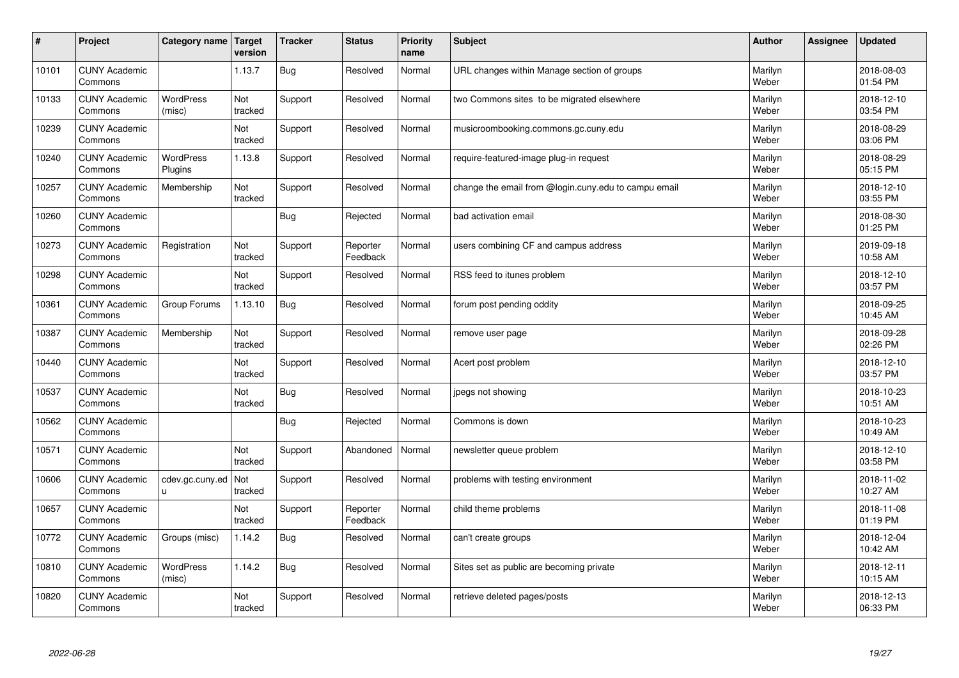| $\sharp$ | Project                         | Category name               | Target<br>version | <b>Tracker</b> | <b>Status</b>        | <b>Priority</b><br>name | <b>Subject</b>                                       | <b>Author</b>    | <b>Assignee</b> | <b>Updated</b>         |
|----------|---------------------------------|-----------------------------|-------------------|----------------|----------------------|-------------------------|------------------------------------------------------|------------------|-----------------|------------------------|
| 10101    | <b>CUNY Academic</b><br>Commons |                             | 1.13.7            | <b>Bug</b>     | Resolved             | Normal                  | URL changes within Manage section of groups          | Marilyn<br>Weber |                 | 2018-08-03<br>01:54 PM |
| 10133    | <b>CUNY Academic</b><br>Commons | <b>WordPress</b><br>(misc)  | Not<br>tracked    | Support        | Resolved             | Normal                  | two Commons sites to be migrated elsewhere           | Marilyn<br>Weber |                 | 2018-12-10<br>03:54 PM |
| 10239    | <b>CUNY Academic</b><br>Commons |                             | Not<br>tracked    | Support        | Resolved             | Normal                  | musicroombooking.commons.gc.cuny.edu                 | Marilyn<br>Weber |                 | 2018-08-29<br>03:06 PM |
| 10240    | <b>CUNY Academic</b><br>Commons | <b>WordPress</b><br>Plugins | 1.13.8            | Support        | Resolved             | Normal                  | require-featured-image plug-in request               | Marilyn<br>Weber |                 | 2018-08-29<br>05:15 PM |
| 10257    | <b>CUNY Academic</b><br>Commons | Membership                  | Not<br>tracked    | Support        | Resolved             | Normal                  | change the email from @login.cuny.edu to campu email | Marilyn<br>Weber |                 | 2018-12-10<br>03:55 PM |
| 10260    | <b>CUNY Academic</b><br>Commons |                             |                   | <b>Bug</b>     | Rejected             | Normal                  | bad activation email                                 | Marilyn<br>Weber |                 | 2018-08-30<br>01:25 PM |
| 10273    | <b>CUNY Academic</b><br>Commons | Registration                | Not<br>tracked    | Support        | Reporter<br>Feedback | Normal                  | users combining CF and campus address                | Marilyn<br>Weber |                 | 2019-09-18<br>10:58 AM |
| 10298    | <b>CUNY Academic</b><br>Commons |                             | Not<br>tracked    | Support        | Resolved             | Normal                  | RSS feed to itunes problem                           | Marilyn<br>Weber |                 | 2018-12-10<br>03:57 PM |
| 10361    | <b>CUNY Academic</b><br>Commons | Group Forums                | 1.13.10           | <b>Bug</b>     | Resolved             | Normal                  | forum post pending oddity                            | Marilyn<br>Weber |                 | 2018-09-25<br>10:45 AM |
| 10387    | <b>CUNY Academic</b><br>Commons | Membership                  | Not<br>tracked    | Support        | Resolved             | Normal                  | remove user page                                     | Marilyn<br>Weber |                 | 2018-09-28<br>02:26 PM |
| 10440    | <b>CUNY Academic</b><br>Commons |                             | Not<br>tracked    | Support        | Resolved             | Normal                  | Acert post problem                                   | Marilyn<br>Weber |                 | 2018-12-10<br>03:57 PM |
| 10537    | <b>CUNY Academic</b><br>Commons |                             | Not<br>tracked    | <b>Bug</b>     | Resolved             | Normal                  | jpegs not showing                                    | Marilyn<br>Weber |                 | 2018-10-23<br>10:51 AM |
| 10562    | <b>CUNY Academic</b><br>Commons |                             |                   | Bug            | Rejected             | Normal                  | Commons is down                                      | Marilyn<br>Weber |                 | 2018-10-23<br>10:49 AM |
| 10571    | <b>CUNY Academic</b><br>Commons |                             | Not<br>tracked    | Support        | Abandoned            | Normal                  | newsletter queue problem                             | Marilyn<br>Weber |                 | 2018-12-10<br>03:58 PM |
| 10606    | <b>CUNY Academic</b><br>Commons | cdev.gc.cuny.ed<br>u        | Not<br>tracked    | Support        | Resolved             | Normal                  | problems with testing environment                    | Marilyn<br>Weber |                 | 2018-11-02<br>10:27 AM |
| 10657    | <b>CUNY Academic</b><br>Commons |                             | Not<br>tracked    | Support        | Reporter<br>Feedback | Normal                  | child theme problems                                 | Marilyn<br>Weber |                 | 2018-11-08<br>01:19 PM |
| 10772    | <b>CUNY Academic</b><br>Commons | Groups (misc)               | 1.14.2            | Bug            | Resolved             | Normal                  | can't create groups                                  | Marilyn<br>Weber |                 | 2018-12-04<br>10:42 AM |
| 10810    | <b>CUNY Academic</b><br>Commons | WordPress<br>(misc)         | 1.14.2            | <b>Bug</b>     | Resolved             | Normal                  | Sites set as public are becoming private             | Marilyn<br>Weber |                 | 2018-12-11<br>10:15 AM |
| 10820    | <b>CUNY Academic</b><br>Commons |                             | Not<br>tracked    | Support        | Resolved             | Normal                  | retrieve deleted pages/posts                         | Marilyn<br>Weber |                 | 2018-12-13<br>06:33 PM |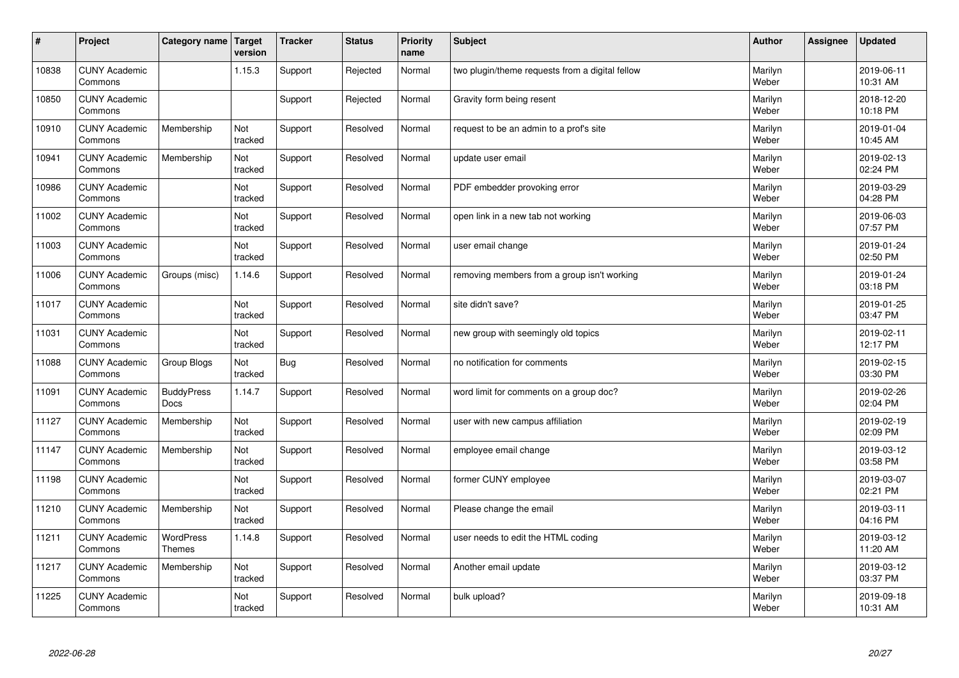| $\sharp$ | Project                         | Category name                     | Target<br>version | <b>Tracker</b> | <b>Status</b> | <b>Priority</b><br>name | <b>Subject</b>                                  | <b>Author</b>    | Assignee | <b>Updated</b>         |
|----------|---------------------------------|-----------------------------------|-------------------|----------------|---------------|-------------------------|-------------------------------------------------|------------------|----------|------------------------|
| 10838    | <b>CUNY Academic</b><br>Commons |                                   | 1.15.3            | Support        | Rejected      | Normal                  | two plugin/theme requests from a digital fellow | Marilyn<br>Weber |          | 2019-06-11<br>10:31 AM |
| 10850    | <b>CUNY Academic</b><br>Commons |                                   |                   | Support        | Rejected      | Normal                  | Gravity form being resent                       | Marilyn<br>Weber |          | 2018-12-20<br>10:18 PM |
| 10910    | <b>CUNY Academic</b><br>Commons | Membership                        | Not<br>tracked    | Support        | Resolved      | Normal                  | request to be an admin to a prof's site         | Marilyn<br>Weber |          | 2019-01-04<br>10:45 AM |
| 10941    | <b>CUNY Academic</b><br>Commons | Membership                        | Not<br>tracked    | Support        | Resolved      | Normal                  | update user email                               | Marilyn<br>Weber |          | 2019-02-13<br>02:24 PM |
| 10986    | <b>CUNY Academic</b><br>Commons |                                   | Not<br>tracked    | Support        | Resolved      | Normal                  | PDF embedder provoking error                    | Marilyn<br>Weber |          | 2019-03-29<br>04:28 PM |
| 11002    | <b>CUNY Academic</b><br>Commons |                                   | Not<br>tracked    | Support        | Resolved      | Normal                  | open link in a new tab not working              | Marilyn<br>Weber |          | 2019-06-03<br>07:57 PM |
| 11003    | <b>CUNY Academic</b><br>Commons |                                   | Not<br>tracked    | Support        | Resolved      | Normal                  | user email change                               | Marilyn<br>Weber |          | 2019-01-24<br>02:50 PM |
| 11006    | <b>CUNY Academic</b><br>Commons | Groups (misc)                     | 1.14.6            | Support        | Resolved      | Normal                  | removing members from a group isn't working     | Marilyn<br>Weber |          | 2019-01-24<br>03:18 PM |
| 11017    | <b>CUNY Academic</b><br>Commons |                                   | Not<br>tracked    | Support        | Resolved      | Normal                  | site didn't save?                               | Marilyn<br>Weber |          | 2019-01-25<br>03:47 PM |
| 11031    | <b>CUNY Academic</b><br>Commons |                                   | Not<br>tracked    | Support        | Resolved      | Normal                  | new group with seemingly old topics             | Marilyn<br>Weber |          | 2019-02-11<br>12:17 PM |
| 11088    | <b>CUNY Academic</b><br>Commons | Group Blogs                       | Not<br>tracked    | <b>Bug</b>     | Resolved      | Normal                  | no notification for comments                    | Marilyn<br>Weber |          | 2019-02-15<br>03:30 PM |
| 11091    | <b>CUNY Academic</b><br>Commons | <b>BuddyPress</b><br><b>Docs</b>  | 1.14.7            | Support        | Resolved      | Normal                  | word limit for comments on a group doc?         | Marilyn<br>Weber |          | 2019-02-26<br>02:04 PM |
| 11127    | <b>CUNY Academic</b><br>Commons | Membership                        | Not<br>tracked    | Support        | Resolved      | Normal                  | user with new campus affiliation                | Marilyn<br>Weber |          | 2019-02-19<br>02:09 PM |
| 11147    | <b>CUNY Academic</b><br>Commons | Membership                        | Not<br>tracked    | Support        | Resolved      | Normal                  | employee email change                           | Marilyn<br>Weber |          | 2019-03-12<br>03:58 PM |
| 11198    | <b>CUNY Academic</b><br>Commons |                                   | Not<br>tracked    | Support        | Resolved      | Normal                  | former CUNY employee                            | Marilyn<br>Weber |          | 2019-03-07<br>02:21 PM |
| 11210    | <b>CUNY Academic</b><br>Commons | Membership                        | Not<br>tracked    | Support        | Resolved      | Normal                  | Please change the email                         | Marilyn<br>Weber |          | 2019-03-11<br>04:16 PM |
| 11211    | <b>CUNY Academic</b><br>Commons | <b>WordPress</b><br><b>Themes</b> | 1.14.8            | Support        | Resolved      | Normal                  | user needs to edit the HTML coding              | Marilyn<br>Weber |          | 2019-03-12<br>11:20 AM |
| 11217    | <b>CUNY Academic</b><br>Commons | Membership                        | Not<br>tracked    | Support        | Resolved      | Normal                  | Another email update                            | Marilyn<br>Weber |          | 2019-03-12<br>03:37 PM |
| 11225    | <b>CUNY Academic</b><br>Commons |                                   | Not<br>tracked    | Support        | Resolved      | Normal                  | bulk upload?                                    | Marilyn<br>Weber |          | 2019-09-18<br>10:31 AM |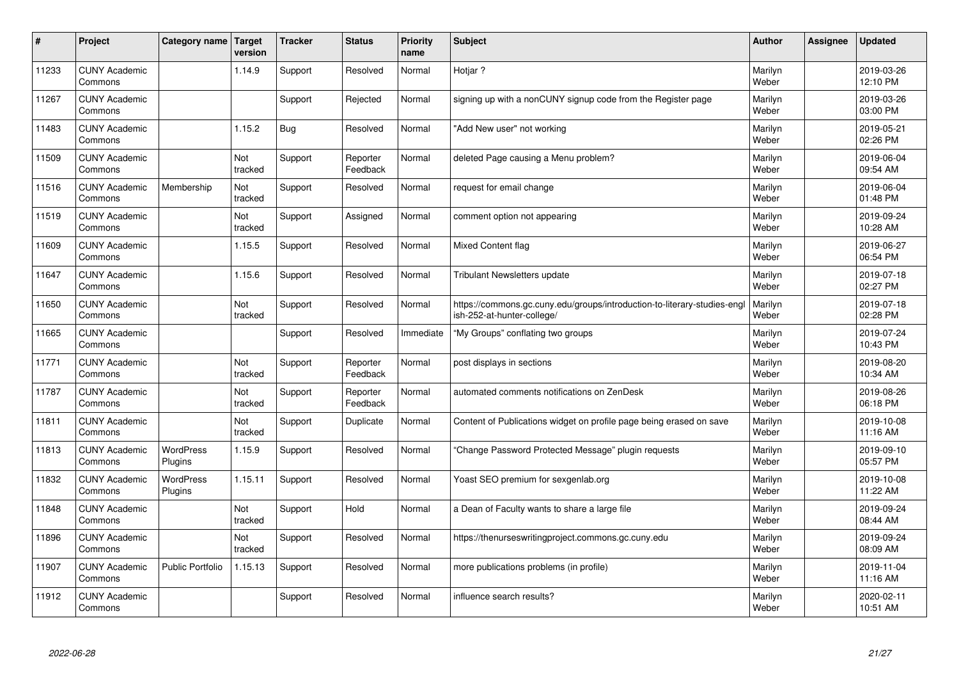| #     | Project                         | Category name               | Target<br>version | <b>Tracker</b> | <b>Status</b>        | <b>Priority</b><br>name | <b>Subject</b>                                                                                         | <b>Author</b>    | Assignee | <b>Updated</b>         |
|-------|---------------------------------|-----------------------------|-------------------|----------------|----------------------|-------------------------|--------------------------------------------------------------------------------------------------------|------------------|----------|------------------------|
| 11233 | <b>CUNY Academic</b><br>Commons |                             | 1.14.9            | Support        | Resolved             | Normal                  | Hotiar?                                                                                                | Marilyn<br>Weber |          | 2019-03-26<br>12:10 PM |
| 11267 | <b>CUNY Academic</b><br>Commons |                             |                   | Support        | Rejected             | Normal                  | signing up with a nonCUNY signup code from the Register page                                           | Marilyn<br>Weber |          | 2019-03-26<br>03:00 PM |
| 11483 | <b>CUNY Academic</b><br>Commons |                             | 1.15.2            | <b>Bug</b>     | Resolved             | Normal                  | "Add New user" not working                                                                             | Marilyn<br>Weber |          | 2019-05-21<br>02:26 PM |
| 11509 | <b>CUNY Academic</b><br>Commons |                             | Not<br>tracked    | Support        | Reporter<br>Feedback | Normal                  | deleted Page causing a Menu problem?                                                                   | Marilyn<br>Weber |          | 2019-06-04<br>09:54 AM |
| 11516 | <b>CUNY Academic</b><br>Commons | Membership                  | Not<br>tracked    | Support        | Resolved             | Normal                  | request for email change                                                                               | Marilyn<br>Weber |          | 2019-06-04<br>01:48 PM |
| 11519 | <b>CUNY Academic</b><br>Commons |                             | Not<br>tracked    | Support        | Assigned             | Normal                  | comment option not appearing                                                                           | Marilyn<br>Weber |          | 2019-09-24<br>10:28 AM |
| 11609 | <b>CUNY Academic</b><br>Commons |                             | 1.15.5            | Support        | Resolved             | Normal                  | <b>Mixed Content flag</b>                                                                              | Marilyn<br>Weber |          | 2019-06-27<br>06:54 PM |
| 11647 | <b>CUNY Academic</b><br>Commons |                             | 1.15.6            | Support        | Resolved             | Normal                  | <b>Tribulant Newsletters update</b>                                                                    | Marilyn<br>Weber |          | 2019-07-18<br>02:27 PM |
| 11650 | <b>CUNY Academic</b><br>Commons |                             | Not<br>tracked    | Support        | Resolved             | Normal                  | https://commons.gc.cuny.edu/groups/introduction-to-literary-studies-engl<br>ish-252-at-hunter-college/ | Marilyn<br>Weber |          | 2019-07-18<br>02:28 PM |
| 11665 | <b>CUNY Academic</b><br>Commons |                             |                   | Support        | Resolved             | Immediate               | "My Groups" conflating two groups                                                                      | Marilyn<br>Weber |          | 2019-07-24<br>10:43 PM |
| 11771 | <b>CUNY Academic</b><br>Commons |                             | Not<br>tracked    | Support        | Reporter<br>Feedback | Normal                  | post displays in sections                                                                              | Marilyn<br>Weber |          | 2019-08-20<br>10:34 AM |
| 11787 | <b>CUNY Academic</b><br>Commons |                             | Not<br>tracked    | Support        | Reporter<br>Feedback | Normal                  | automated comments notifications on ZenDesk                                                            | Marilyn<br>Weber |          | 2019-08-26<br>06:18 PM |
| 11811 | <b>CUNY Academic</b><br>Commons |                             | Not<br>tracked    | Support        | Duplicate            | Normal                  | Content of Publications widget on profile page being erased on save                                    | Marilyn<br>Weber |          | 2019-10-08<br>11:16 AM |
| 11813 | <b>CUNY Academic</b><br>Commons | <b>WordPress</b><br>Plugins | 1.15.9            | Support        | Resolved             | Normal                  | "Change Password Protected Message" plugin requests                                                    | Marilyn<br>Weber |          | 2019-09-10<br>05:57 PM |
| 11832 | <b>CUNY Academic</b><br>Commons | <b>WordPress</b><br>Plugins | 1.15.11           | Support        | Resolved             | Normal                  | Yoast SEO premium for sexgenlab.org                                                                    | Marilyn<br>Weber |          | 2019-10-08<br>11:22 AM |
| 11848 | <b>CUNY Academic</b><br>Commons |                             | Not<br>tracked    | Support        | Hold                 | Normal                  | a Dean of Faculty wants to share a large file                                                          | Marilyn<br>Weber |          | 2019-09-24<br>08:44 AM |
| 11896 | <b>CUNY Academic</b><br>Commons |                             | Not<br>tracked    | Support        | Resolved             | Normal                  | https://thenurseswritingproject.commons.gc.cuny.edu                                                    | Marilyn<br>Weber |          | 2019-09-24<br>08:09 AM |
| 11907 | <b>CUNY Academic</b><br>Commons | <b>Public Portfolio</b>     | 1.15.13           | Support        | Resolved             | Normal                  | more publications problems (in profile)                                                                | Marilyn<br>Weber |          | 2019-11-04<br>11:16 AM |
| 11912 | <b>CUNY Academic</b><br>Commons |                             |                   | Support        | Resolved             | Normal                  | influence search results?                                                                              | Marilyn<br>Weber |          | 2020-02-11<br>10:51 AM |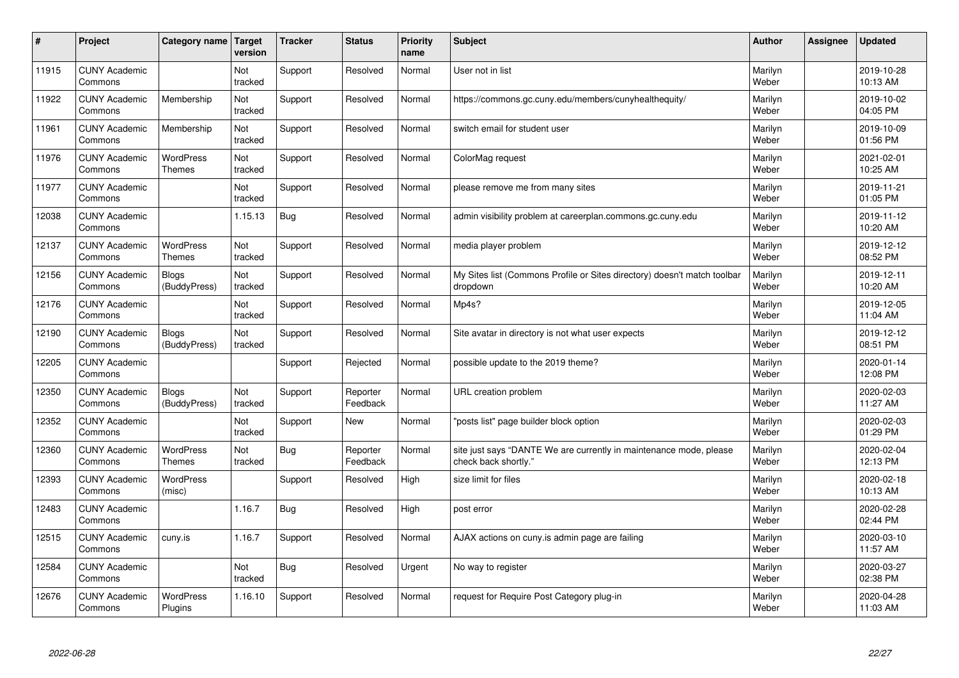| #     | Project                         | Category name                     | Target<br>version | <b>Tracker</b> | <b>Status</b>        | <b>Priority</b><br>name | <b>Subject</b>                                                                             | <b>Author</b>    | Assignee | <b>Updated</b>         |
|-------|---------------------------------|-----------------------------------|-------------------|----------------|----------------------|-------------------------|--------------------------------------------------------------------------------------------|------------------|----------|------------------------|
| 11915 | <b>CUNY Academic</b><br>Commons |                                   | Not<br>tracked    | Support        | Resolved             | Normal                  | User not in list                                                                           | Marilyn<br>Weber |          | 2019-10-28<br>10:13 AM |
| 11922 | <b>CUNY Academic</b><br>Commons | Membership                        | Not<br>tracked    | Support        | Resolved             | Normal                  | https://commons.gc.cuny.edu/members/cunyhealthequity/                                      | Marilyn<br>Weber |          | 2019-10-02<br>04:05 PM |
| 11961 | <b>CUNY Academic</b><br>Commons | Membership                        | Not<br>tracked    | Support        | Resolved             | Normal                  | switch email for student user                                                              | Marilyn<br>Weber |          | 2019-10-09<br>01:56 PM |
| 11976 | <b>CUNY Academic</b><br>Commons | <b>WordPress</b><br><b>Themes</b> | Not<br>tracked    | Support        | Resolved             | Normal                  | ColorMag request                                                                           | Marilyn<br>Weber |          | 2021-02-01<br>10:25 AM |
| 11977 | <b>CUNY Academic</b><br>Commons |                                   | Not<br>tracked    | Support        | Resolved             | Normal                  | please remove me from many sites                                                           | Marilyn<br>Weber |          | 2019-11-21<br>01:05 PM |
| 12038 | <b>CUNY Academic</b><br>Commons |                                   | 1.15.13           | <b>Bug</b>     | Resolved             | Normal                  | admin visibility problem at careerplan.commons.gc.cuny.edu                                 | Marilyn<br>Weber |          | 2019-11-12<br>10:20 AM |
| 12137 | <b>CUNY Academic</b><br>Commons | <b>WordPress</b><br><b>Themes</b> | Not<br>tracked    | Support        | Resolved             | Normal                  | media player problem                                                                       | Marilyn<br>Weber |          | 2019-12-12<br>08:52 PM |
| 12156 | <b>CUNY Academic</b><br>Commons | <b>Blogs</b><br>(BuddyPress)      | Not<br>tracked    | Support        | Resolved             | Normal                  | My Sites list (Commons Profile or Sites directory) doesn't match toolbar<br>dropdown       | Marilyn<br>Weber |          | 2019-12-11<br>10:20 AM |
| 12176 | <b>CUNY Academic</b><br>Commons |                                   | Not<br>tracked    | Support        | Resolved             | Normal                  | Mp4s?                                                                                      | Marilyn<br>Weber |          | 2019-12-05<br>11:04 AM |
| 12190 | <b>CUNY Academic</b><br>Commons | Blogs<br>(BuddyPress)             | Not<br>tracked    | Support        | Resolved             | Normal                  | Site avatar in directory is not what user expects                                          | Marilyn<br>Weber |          | 2019-12-12<br>08:51 PM |
| 12205 | <b>CUNY Academic</b><br>Commons |                                   |                   | Support        | Rejected             | Normal                  | possible update to the 2019 theme?                                                         | Marilyn<br>Weber |          | 2020-01-14<br>12:08 PM |
| 12350 | <b>CUNY Academic</b><br>Commons | <b>Blogs</b><br>(BuddyPress)      | Not<br>tracked    | Support        | Reporter<br>Feedback | Normal                  | URL creation problem                                                                       | Marilyn<br>Weber |          | 2020-02-03<br>11:27 AM |
| 12352 | <b>CUNY Academic</b><br>Commons |                                   | Not<br>tracked    | Support        | New                  | Normal                  | "posts list" page builder block option                                                     | Marilyn<br>Weber |          | 2020-02-03<br>01:29 PM |
| 12360 | <b>CUNY Academic</b><br>Commons | <b>WordPress</b><br><b>Themes</b> | Not<br>tracked    | <b>Bug</b>     | Reporter<br>Feedback | Normal                  | site just says "DANTE We are currently in maintenance mode, please<br>check back shortly." | Marilyn<br>Weber |          | 2020-02-04<br>12:13 PM |
| 12393 | <b>CUNY Academic</b><br>Commons | <b>WordPress</b><br>(misc)        |                   | Support        | Resolved             | High                    | size limit for files                                                                       | Marilyn<br>Weber |          | 2020-02-18<br>10:13 AM |
| 12483 | <b>CUNY Academic</b><br>Commons |                                   | 1.16.7            | Bug            | Resolved             | High                    | post error                                                                                 | Marilyn<br>Weber |          | 2020-02-28<br>02:44 PM |
| 12515 | <b>CUNY Academic</b><br>Commons | cuny.is                           | 1.16.7            | Support        | Resolved             | Normal                  | AJAX actions on cuny is admin page are failing                                             | Marilyn<br>Weber |          | 2020-03-10<br>11:57 AM |
| 12584 | <b>CUNY Academic</b><br>Commons |                                   | Not<br>tracked    | <b>Bug</b>     | Resolved             | Urgent                  | No way to register                                                                         | Marilyn<br>Weber |          | 2020-03-27<br>02:38 PM |
| 12676 | <b>CUNY Academic</b><br>Commons | <b>WordPress</b><br>Plugins       | 1.16.10           | Support        | Resolved             | Normal                  | request for Require Post Category plug-in                                                  | Marilyn<br>Weber |          | 2020-04-28<br>11:03 AM |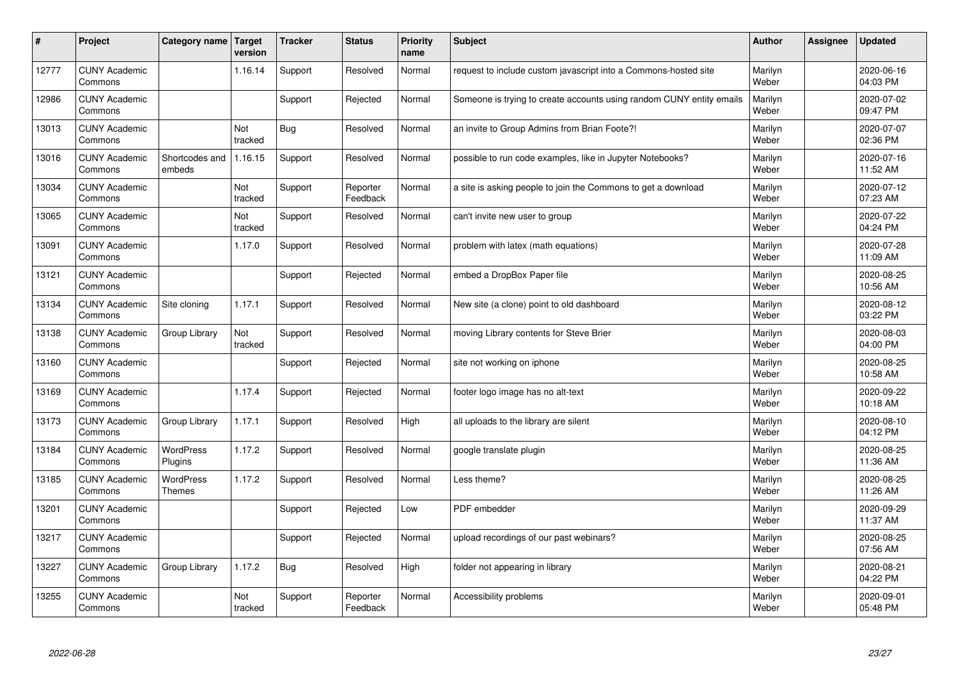| $\sharp$ | Project                         | Category name               | Target<br>version | <b>Tracker</b> | <b>Status</b>        | <b>Priority</b><br>name | <b>Subject</b>                                                       | <b>Author</b>    | Assignee | <b>Updated</b>         |
|----------|---------------------------------|-----------------------------|-------------------|----------------|----------------------|-------------------------|----------------------------------------------------------------------|------------------|----------|------------------------|
| 12777    | <b>CUNY Academic</b><br>Commons |                             | 1.16.14           | Support        | Resolved             | Normal                  | request to include custom javascript into a Commons-hosted site      | Marilyn<br>Weber |          | 2020-06-16<br>04:03 PM |
| 12986    | <b>CUNY Academic</b><br>Commons |                             |                   | Support        | Rejected             | Normal                  | Someone is trying to create accounts using random CUNY entity emails | Marilyn<br>Weber |          | 2020-07-02<br>09:47 PM |
| 13013    | <b>CUNY Academic</b><br>Commons |                             | Not<br>tracked    | <b>Bug</b>     | Resolved             | Normal                  | an invite to Group Admins from Brian Foote?!                         | Marilyn<br>Weber |          | 2020-07-07<br>02:36 PM |
| 13016    | <b>CUNY Academic</b><br>Commons | Shortcodes and<br>embeds    | 1.16.15           | Support        | Resolved             | Normal                  | possible to run code examples, like in Jupyter Notebooks?            | Marilyn<br>Weber |          | 2020-07-16<br>11:52 AM |
| 13034    | <b>CUNY Academic</b><br>Commons |                             | Not<br>tracked    | Support        | Reporter<br>Feedback | Normal                  | a site is asking people to join the Commons to get a download        | Marilyn<br>Weber |          | 2020-07-12<br>07:23 AM |
| 13065    | <b>CUNY Academic</b><br>Commons |                             | Not<br>tracked    | Support        | Resolved             | Normal                  | can't invite new user to group                                       | Marilyn<br>Weber |          | 2020-07-22<br>04:24 PM |
| 13091    | <b>CUNY Academic</b><br>Commons |                             | 1.17.0            | Support        | Resolved             | Normal                  | problem with latex (math equations)                                  | Marilyn<br>Weber |          | 2020-07-28<br>11:09 AM |
| 13121    | <b>CUNY Academic</b><br>Commons |                             |                   | Support        | Rejected             | Normal                  | embed a DropBox Paper file                                           | Marilyn<br>Weber |          | 2020-08-25<br>10:56 AM |
| 13134    | <b>CUNY Academic</b><br>Commons | Site cloning                | 1.17.1            | Support        | Resolved             | Normal                  | New site (a clone) point to old dashboard                            | Marilyn<br>Weber |          | 2020-08-12<br>03:22 PM |
| 13138    | <b>CUNY Academic</b><br>Commons | Group Library               | Not<br>tracked    | Support        | Resolved             | Normal                  | moving Library contents for Steve Brier                              | Marilyn<br>Weber |          | 2020-08-03<br>04:00 PM |
| 13160    | <b>CUNY Academic</b><br>Commons |                             |                   | Support        | Rejected             | Normal                  | site not working on iphone                                           | Marilyn<br>Weber |          | 2020-08-25<br>10:58 AM |
| 13169    | <b>CUNY Academic</b><br>Commons |                             | 1.17.4            | Support        | Rejected             | Normal                  | footer logo image has no alt-text                                    | Marilyn<br>Weber |          | 2020-09-22<br>10:18 AM |
| 13173    | <b>CUNY Academic</b><br>Commons | Group Library               | 1.17.1            | Support        | Resolved             | High                    | all uploads to the library are silent                                | Marilyn<br>Weber |          | 2020-08-10<br>04:12 PM |
| 13184    | <b>CUNY Academic</b><br>Commons | <b>WordPress</b><br>Plugins | 1.17.2            | Support        | Resolved             | Normal                  | google translate plugin                                              | Marilyn<br>Weber |          | 2020-08-25<br>11:36 AM |
| 13185    | <b>CUNY Academic</b><br>Commons | <b>WordPress</b><br>Themes  | 1.17.2            | Support        | Resolved             | Normal                  | Less theme?                                                          | Marilyn<br>Weber |          | 2020-08-25<br>11:26 AM |
| 13201    | <b>CUNY Academic</b><br>Commons |                             |                   | Support        | Rejected             | Low                     | PDF embedder                                                         | Marilyn<br>Weber |          | 2020-09-29<br>11:37 AM |
| 13217    | <b>CUNY Academic</b><br>Commons |                             |                   | Support        | Rejected             | Normal                  | upload recordings of our past webinars?                              | Marilyn<br>Weber |          | 2020-08-25<br>07:56 AM |
| 13227    | <b>CUNY Academic</b><br>Commons | Group Library               | 1.17.2            | <b>Bug</b>     | Resolved             | High                    | folder not appearing in library                                      | Marilyn<br>Weber |          | 2020-08-21<br>04:22 PM |
| 13255    | <b>CUNY Academic</b><br>Commons |                             | Not<br>tracked    | Support        | Reporter<br>Feedback | Normal                  | Accessibility problems                                               | Marilyn<br>Weber |          | 2020-09-01<br>05:48 PM |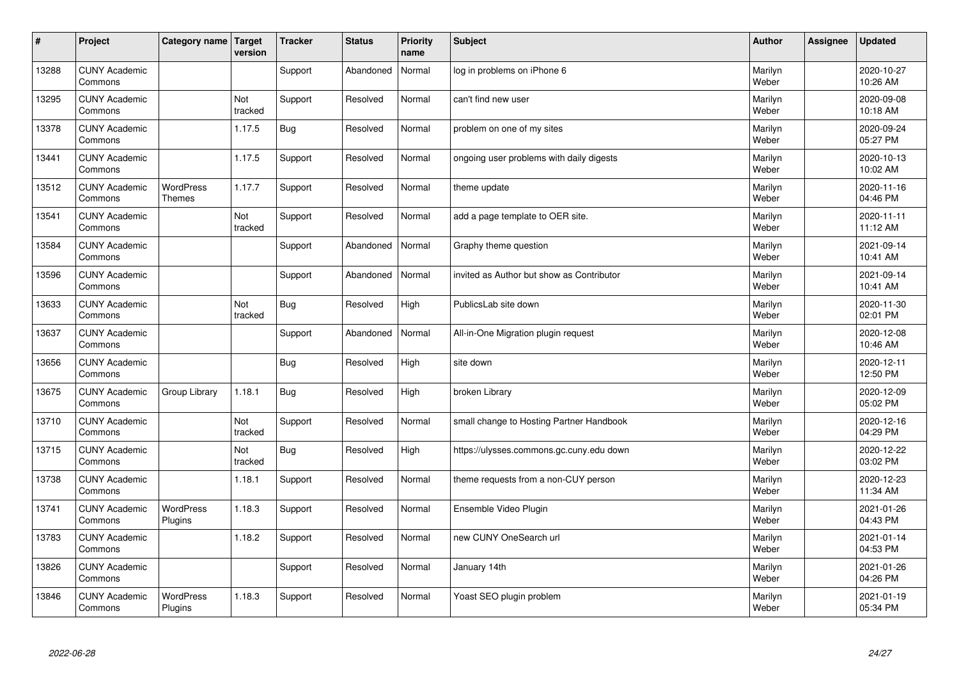| $\sharp$ | Project                         | Category name   Target      | version        | <b>Tracker</b> | <b>Status</b> | <b>Priority</b><br>name | <b>Subject</b>                            | <b>Author</b>    | Assignee | <b>Updated</b>         |
|----------|---------------------------------|-----------------------------|----------------|----------------|---------------|-------------------------|-------------------------------------------|------------------|----------|------------------------|
| 13288    | <b>CUNY Academic</b><br>Commons |                             |                | Support        | Abandoned     | Normal                  | log in problems on iPhone 6               | Marilyn<br>Weber |          | 2020-10-27<br>10:26 AM |
| 13295    | <b>CUNY Academic</b><br>Commons |                             | Not<br>tracked | Support        | Resolved      | Normal                  | can't find new user                       | Marilyn<br>Weber |          | 2020-09-08<br>10:18 AM |
| 13378    | <b>CUNY Academic</b><br>Commons |                             | 1.17.5         | <b>Bug</b>     | Resolved      | Normal                  | problem on one of my sites                | Marilyn<br>Weber |          | 2020-09-24<br>05:27 PM |
| 13441    | <b>CUNY Academic</b><br>Commons |                             | 1.17.5         | Support        | Resolved      | Normal                  | ongoing user problems with daily digests  | Marilyn<br>Weber |          | 2020-10-13<br>10:02 AM |
| 13512    | <b>CUNY Academic</b><br>Commons | <b>WordPress</b><br>Themes  | 1.17.7         | Support        | Resolved      | Normal                  | theme update                              | Marilyn<br>Weber |          | 2020-11-16<br>04:46 PM |
| 13541    | <b>CUNY Academic</b><br>Commons |                             | Not<br>tracked | Support        | Resolved      | Normal                  | add a page template to OER site.          | Marilyn<br>Weber |          | 2020-11-11<br>11:12 AM |
| 13584    | <b>CUNY Academic</b><br>Commons |                             |                | Support        | Abandoned     | Normal                  | Graphy theme question                     | Marilyn<br>Weber |          | 2021-09-14<br>10:41 AM |
| 13596    | <b>CUNY Academic</b><br>Commons |                             |                | Support        | Abandoned     | Normal                  | invited as Author but show as Contributor | Marilyn<br>Weber |          | 2021-09-14<br>10:41 AM |
| 13633    | <b>CUNY Academic</b><br>Commons |                             | Not<br>tracked | <b>Bug</b>     | Resolved      | High                    | PublicsLab site down                      | Marilyn<br>Weber |          | 2020-11-30<br>02:01 PM |
| 13637    | <b>CUNY Academic</b><br>Commons |                             |                | Support        | Abandoned     | Normal                  | All-in-One Migration plugin request       | Marilyn<br>Weber |          | 2020-12-08<br>10:46 AM |
| 13656    | <b>CUNY Academic</b><br>Commons |                             |                | <b>Bug</b>     | Resolved      | High                    | site down                                 | Marilyn<br>Weber |          | 2020-12-11<br>12:50 PM |
| 13675    | <b>CUNY Academic</b><br>Commons | Group Library               | 1.18.1         | <b>Bug</b>     | Resolved      | High                    | broken Library                            | Marilyn<br>Weber |          | 2020-12-09<br>05:02 PM |
| 13710    | <b>CUNY Academic</b><br>Commons |                             | Not<br>tracked | Support        | Resolved      | Normal                  | small change to Hosting Partner Handbook  | Marilyn<br>Weber |          | 2020-12-16<br>04:29 PM |
| 13715    | <b>CUNY Academic</b><br>Commons |                             | Not<br>tracked | <b>Bug</b>     | Resolved      | High                    | https://ulysses.commons.gc.cuny.edu down  | Marilyn<br>Weber |          | 2020-12-22<br>03:02 PM |
| 13738    | <b>CUNY Academic</b><br>Commons |                             | 1.18.1         | Support        | Resolved      | Normal                  | theme requests from a non-CUY person      | Marilyn<br>Weber |          | 2020-12-23<br>11:34 AM |
| 13741    | <b>CUNY Academic</b><br>Commons | <b>WordPress</b><br>Plugins | 1.18.3         | Support        | Resolved      | Normal                  | Ensemble Video Plugin                     | Marilyn<br>Weber |          | 2021-01-26<br>04:43 PM |
| 13783    | <b>CUNY Academic</b><br>Commons |                             | 1.18.2         | Support        | Resolved      | Normal                  | new CUNY OneSearch url                    | Marilyn<br>Weber |          | 2021-01-14<br>04:53 PM |
| 13826    | <b>CUNY Academic</b><br>Commons |                             |                | Support        | Resolved      | Normal                  | January 14th                              | Marilyn<br>Weber |          | 2021-01-26<br>04:26 PM |
| 13846    | <b>CUNY Academic</b><br>Commons | <b>WordPress</b><br>Plugins | 1.18.3         | Support        | Resolved      | Normal                  | Yoast SEO plugin problem                  | Marilyn<br>Weber |          | 2021-01-19<br>05:34 PM |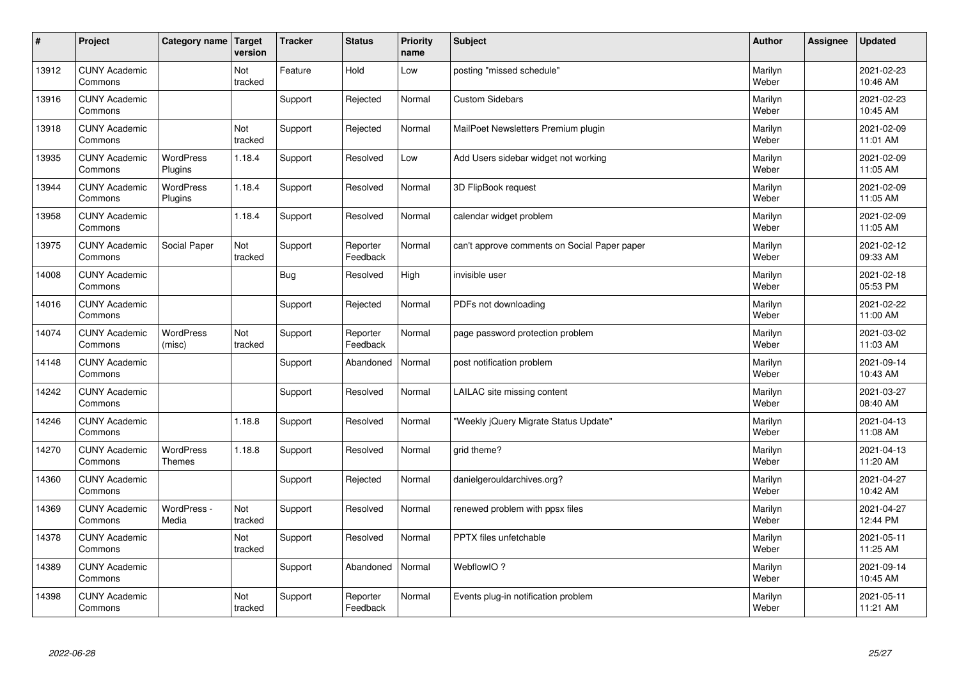| $\sharp$ | Project                         | Category name   Target      | version        | <b>Tracker</b> | <b>Status</b>        | <b>Priority</b><br>name | <b>Subject</b>                               | <b>Author</b>    | Assignee | <b>Updated</b>         |
|----------|---------------------------------|-----------------------------|----------------|----------------|----------------------|-------------------------|----------------------------------------------|------------------|----------|------------------------|
| 13912    | <b>CUNY Academic</b><br>Commons |                             | Not<br>tracked | Feature        | Hold                 | Low                     | posting "missed schedule"                    | Marilyn<br>Weber |          | 2021-02-23<br>10:46 AM |
| 13916    | <b>CUNY Academic</b><br>Commons |                             |                | Support        | Rejected             | Normal                  | <b>Custom Sidebars</b>                       | Marilyn<br>Weber |          | 2021-02-23<br>10:45 AM |
| 13918    | <b>CUNY Academic</b><br>Commons |                             | Not<br>tracked | Support        | Rejected             | Normal                  | MailPoet Newsletters Premium plugin          | Marilyn<br>Weber |          | 2021-02-09<br>11:01 AM |
| 13935    | <b>CUNY Academic</b><br>Commons | <b>WordPress</b><br>Plugins | 1.18.4         | Support        | Resolved             | Low                     | Add Users sidebar widget not working         | Marilyn<br>Weber |          | 2021-02-09<br>11:05 AM |
| 13944    | <b>CUNY Academic</b><br>Commons | <b>WordPress</b><br>Plugins | 1.18.4         | Support        | Resolved             | Normal                  | 3D FlipBook request                          | Marilyn<br>Weber |          | 2021-02-09<br>11:05 AM |
| 13958    | <b>CUNY Academic</b><br>Commons |                             | 1.18.4         | Support        | Resolved             | Normal                  | calendar widget problem                      | Marilyn<br>Weber |          | 2021-02-09<br>11:05 AM |
| 13975    | <b>CUNY Academic</b><br>Commons | Social Paper                | Not<br>tracked | Support        | Reporter<br>Feedback | Normal                  | can't approve comments on Social Paper paper | Marilyn<br>Weber |          | 2021-02-12<br>09:33 AM |
| 14008    | <b>CUNY Academic</b><br>Commons |                             |                | <b>Bug</b>     | Resolved             | High                    | invisible user                               | Marilyn<br>Weber |          | 2021-02-18<br>05:53 PM |
| 14016    | <b>CUNY Academic</b><br>Commons |                             |                | Support        | Rejected             | Normal                  | PDFs not downloading                         | Marilyn<br>Weber |          | 2021-02-22<br>11:00 AM |
| 14074    | <b>CUNY Academic</b><br>Commons | <b>WordPress</b><br>(misc)  | Not<br>tracked | Support        | Reporter<br>Feedback | Normal                  | page password protection problem             | Marilyn<br>Weber |          | 2021-03-02<br>11:03 AM |
| 14148    | <b>CUNY Academic</b><br>Commons |                             |                | Support        | Abandoned            | Normal                  | post notification problem                    | Marilyn<br>Weber |          | 2021-09-14<br>10:43 AM |
| 14242    | <b>CUNY Academic</b><br>Commons |                             |                | Support        | Resolved             | Normal                  | LAILAC site missing content                  | Marilyn<br>Weber |          | 2021-03-27<br>08:40 AM |
| 14246    | <b>CUNY Academic</b><br>Commons |                             | 1.18.8         | Support        | Resolved             | Normal                  | 'Weekly jQuery Migrate Status Update"        | Marilyn<br>Weber |          | 2021-04-13<br>11:08 AM |
| 14270    | <b>CUNY Academic</b><br>Commons | <b>WordPress</b><br>Themes  | 1.18.8         | Support        | Resolved             | Normal                  | grid theme?                                  | Marilyn<br>Weber |          | 2021-04-13<br>11:20 AM |
| 14360    | <b>CUNY Academic</b><br>Commons |                             |                | Support        | Rejected             | Normal                  | danielgerouldarchives.org?                   | Marilyn<br>Weber |          | 2021-04-27<br>10:42 AM |
| 14369    | <b>CUNY Academic</b><br>Commons | WordPress -<br>Media        | Not<br>tracked | Support        | Resolved             | Normal                  | renewed problem with ppsx files              | Marilyn<br>Weber |          | 2021-04-27<br>12:44 PM |
| 14378    | <b>CUNY Academic</b><br>Commons |                             | Not<br>tracked | Support        | Resolved             | Normal                  | <b>PPTX</b> files unfetchable                | Marilyn<br>Weber |          | 2021-05-11<br>11:25 AM |
| 14389    | <b>CUNY Academic</b><br>Commons |                             |                | Support        | Abandoned            | Normal                  | WebflowIO?                                   | Marilyn<br>Weber |          | 2021-09-14<br>10:45 AM |
| 14398    | <b>CUNY Academic</b><br>Commons |                             | Not<br>tracked | Support        | Reporter<br>Feedback | Normal                  | Events plug-in notification problem          | Marilyn<br>Weber |          | 2021-05-11<br>11:21 AM |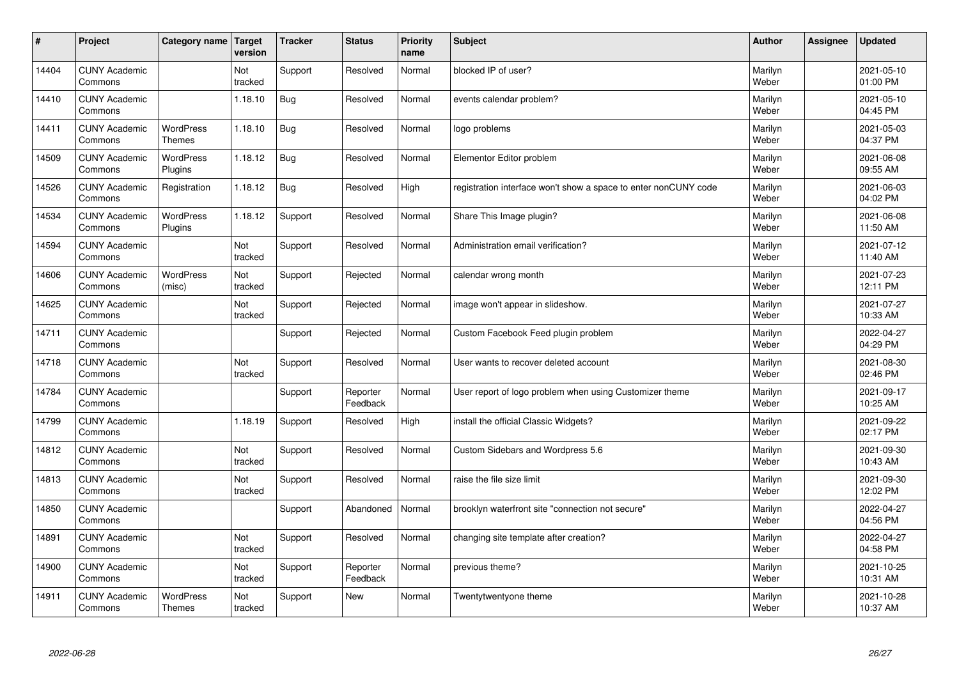| $\vert$ # | Project                         | Category name   Target            | version        | <b>Tracker</b> | <b>Status</b>        | <b>Priority</b><br>name | <b>Subject</b>                                                  | <b>Author</b>    | Assignee | <b>Updated</b>         |
|-----------|---------------------------------|-----------------------------------|----------------|----------------|----------------------|-------------------------|-----------------------------------------------------------------|------------------|----------|------------------------|
| 14404     | <b>CUNY Academic</b><br>Commons |                                   | Not<br>tracked | Support        | Resolved             | Normal                  | blocked IP of user?                                             | Marilyn<br>Weber |          | 2021-05-10<br>01:00 PM |
| 14410     | <b>CUNY Academic</b><br>Commons |                                   | 1.18.10        | Bug            | Resolved             | Normal                  | events calendar problem?                                        | Marilyn<br>Weber |          | 2021-05-10<br>04:45 PM |
| 14411     | <b>CUNY Academic</b><br>Commons | <b>WordPress</b><br><b>Themes</b> | 1.18.10        | Bug            | Resolved             | Normal                  | logo problems                                                   | Marilyn<br>Weber |          | 2021-05-03<br>04:37 PM |
| 14509     | <b>CUNY Academic</b><br>Commons | <b>WordPress</b><br>Plugins       | 1.18.12        | Bug            | Resolved             | Normal                  | Elementor Editor problem                                        | Marilyn<br>Weber |          | 2021-06-08<br>09:55 AM |
| 14526     | <b>CUNY Academic</b><br>Commons | Registration                      | 1.18.12        | <b>Bug</b>     | Resolved             | High                    | registration interface won't show a space to enter nonCUNY code | Marilyn<br>Weber |          | 2021-06-03<br>04:02 PM |
| 14534     | <b>CUNY Academic</b><br>Commons | <b>WordPress</b><br>Plugins       | 1.18.12        | Support        | Resolved             | Normal                  | Share This Image plugin?                                        | Marilyn<br>Weber |          | 2021-06-08<br>11:50 AM |
| 14594     | <b>CUNY Academic</b><br>Commons |                                   | Not<br>tracked | Support        | Resolved             | Normal                  | Administration email verification?                              | Marilyn<br>Weber |          | 2021-07-12<br>11:40 AM |
| 14606     | <b>CUNY Academic</b><br>Commons | WordPress<br>(misc)               | Not<br>tracked | Support        | Rejected             | Normal                  | calendar wrong month                                            | Marilyn<br>Weber |          | 2021-07-23<br>12:11 PM |
| 14625     | <b>CUNY Academic</b><br>Commons |                                   | Not<br>tracked | Support        | Rejected             | Normal                  | image won't appear in slideshow.                                | Marilyn<br>Weber |          | 2021-07-27<br>10:33 AM |
| 14711     | <b>CUNY Academic</b><br>Commons |                                   |                | Support        | Rejected             | Normal                  | Custom Facebook Feed plugin problem                             | Marilyn<br>Weber |          | 2022-04-27<br>04:29 PM |
| 14718     | <b>CUNY Academic</b><br>Commons |                                   | Not<br>tracked | Support        | Resolved             | Normal                  | User wants to recover deleted account                           | Marilyn<br>Weber |          | 2021-08-30<br>02:46 PM |
| 14784     | <b>CUNY Academic</b><br>Commons |                                   |                | Support        | Reporter<br>Feedback | Normal                  | User report of logo problem when using Customizer theme         | Marilyn<br>Weber |          | 2021-09-17<br>10:25 AM |
| 14799     | <b>CUNY Academic</b><br>Commons |                                   | 1.18.19        | Support        | Resolved             | High                    | install the official Classic Widgets?                           | Marilyn<br>Weber |          | 2021-09-22<br>02:17 PM |
| 14812     | <b>CUNY Academic</b><br>Commons |                                   | Not<br>tracked | Support        | Resolved             | Normal                  | Custom Sidebars and Wordpress 5.6                               | Marilyn<br>Weber |          | 2021-09-30<br>10:43 AM |
| 14813     | <b>CUNY Academic</b><br>Commons |                                   | Not<br>tracked | Support        | Resolved             | Normal                  | raise the file size limit                                       | Marilyn<br>Weber |          | 2021-09-30<br>12:02 PM |
| 14850     | <b>CUNY Academic</b><br>Commons |                                   |                | Support        | Abandoned            | Normal                  | brooklyn waterfront site "connection not secure"                | Marilyn<br>Weber |          | 2022-04-27<br>04:56 PM |
| 14891     | <b>CUNY Academic</b><br>Commons |                                   | Not<br>tracked | Support        | Resolved             | Normal                  | changing site template after creation?                          | Marilyn<br>Weber |          | 2022-04-27<br>04:58 PM |
| 14900     | <b>CUNY Academic</b><br>Commons |                                   | Not<br>tracked | Support        | Reporter<br>Feedback | Normal                  | previous theme?                                                 | Marilyn<br>Weber |          | 2021-10-25<br>10:31 AM |
| 14911     | <b>CUNY Academic</b><br>Commons | <b>WordPress</b><br><b>Themes</b> | Not<br>tracked | Support        | <b>New</b>           | Normal                  | Twentytwentyone theme                                           | Marilyn<br>Weber |          | 2021-10-28<br>10:37 AM |